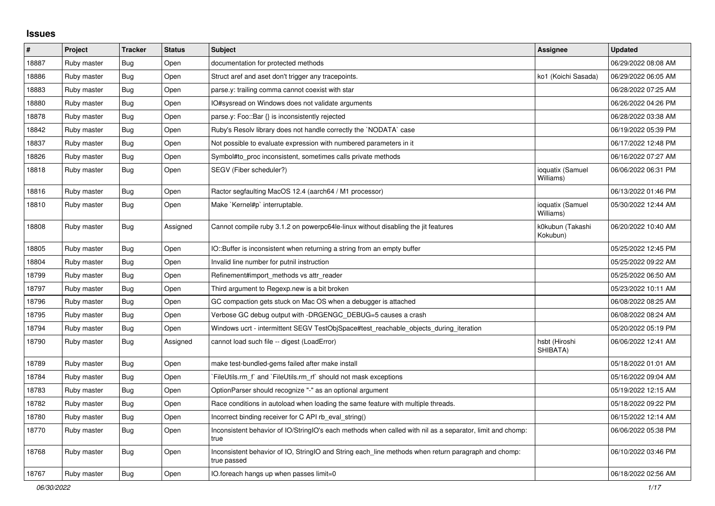## **Issues**

| $\vert$ # | Project     | <b>Tracker</b> | <b>Status</b> | <b>Subject</b>                                                                                                     | Assignee                      | <b>Updated</b>      |
|-----------|-------------|----------------|---------------|--------------------------------------------------------------------------------------------------------------------|-------------------------------|---------------------|
| 18887     | Ruby master | Bug            | Open          | documentation for protected methods                                                                                |                               | 06/29/2022 08:08 AM |
| 18886     | Ruby master | Bug            | Open          | Struct aref and aset don't trigger any tracepoints.                                                                | ko1 (Koichi Sasada)           | 06/29/2022 06:05 AM |
| 18883     | Ruby master | Bug            | Open          | parse.y: trailing comma cannot coexist with star                                                                   |                               | 06/28/2022 07:25 AM |
| 18880     | Ruby master | <b>Bug</b>     | Open          | IO#sysread on Windows does not validate arguments                                                                  |                               | 06/26/2022 04:26 PM |
| 18878     | Ruby master | <b>Bug</b>     | Open          | parse.y: Foo::Bar {} is inconsistently rejected                                                                    |                               | 06/28/2022 03:38 AM |
| 18842     | Ruby master | Bug            | Open          | Ruby's Resolv library does not handle correctly the `NODATA` case                                                  |                               | 06/19/2022 05:39 PM |
| 18837     | Ruby master | Bug            | Open          | Not possible to evaluate expression with numbered parameters in it                                                 |                               | 06/17/2022 12:48 PM |
| 18826     | Ruby master | Bug            | Open          | Symbol#to_proc inconsistent, sometimes calls private methods                                                       |                               | 06/16/2022 07:27 AM |
| 18818     | Ruby master | <b>Bug</b>     | Open          | SEGV (Fiber scheduler?)                                                                                            | ioquatix (Samuel<br>Williams) | 06/06/2022 06:31 PM |
| 18816     | Ruby master | Bug            | Open          | Ractor segfaulting MacOS 12.4 (aarch64 / M1 processor)                                                             |                               | 06/13/2022 01:46 PM |
| 18810     | Ruby master | <b>Bug</b>     | Open          | Make `Kernel#p` interruptable.                                                                                     | ioquatix (Samuel<br>Williams) | 05/30/2022 12:44 AM |
| 18808     | Ruby master | Bug            | Assigned      | Cannot compile ruby 3.1.2 on powerpc64le-linux without disabling the jit features                                  | k0kubun (Takashi<br>Kokubun)  | 06/20/2022 10:40 AM |
| 18805     | Ruby master | <b>Bug</b>     | Open          | IO::Buffer is inconsistent when returning a string from an empty buffer                                            |                               | 05/25/2022 12:45 PM |
| 18804     | Ruby master | Bug            | Open          | Invalid line number for putnil instruction                                                                         |                               | 05/25/2022 09:22 AM |
| 18799     | Ruby master | Bug            | Open          | Refinement#import methods vs attr reader                                                                           |                               | 05/25/2022 06:50 AM |
| 18797     | Ruby master | <b>Bug</b>     | Open          | Third argument to Regexp.new is a bit broken                                                                       |                               | 05/23/2022 10:11 AM |
| 18796     | Ruby master | Bug            | Open          | GC compaction gets stuck on Mac OS when a debugger is attached                                                     |                               | 06/08/2022 08:25 AM |
| 18795     | Ruby master | Bug            | Open          | Verbose GC debug output with -DRGENGC_DEBUG=5 causes a crash                                                       |                               | 06/08/2022 08:24 AM |
| 18794     | Ruby master | <b>Bug</b>     | Open          | Windows ucrt - intermittent SEGV TestObjSpace#test_reachable_objects_during_iteration                              |                               | 05/20/2022 05:19 PM |
| 18790     | Ruby master | <b>Bug</b>     | Assigned      | cannot load such file -- digest (LoadError)                                                                        | hsbt (Hiroshi<br>SHIBATA)     | 06/06/2022 12:41 AM |
| 18789     | Ruby master | Bug            | Open          | make test-bundled-gems failed after make install                                                                   |                               | 05/18/2022 01:01 AM |
| 18784     | Ruby master | Bug            | Open          | FileUtils.rm f and `FileUtils.rm rf should not mask exceptions                                                     |                               | 05/16/2022 09:04 AM |
| 18783     | Ruby master | <b>Bug</b>     | Open          | OptionParser should recognize "-" as an optional argument                                                          |                               | 05/19/2022 12:15 AM |
| 18782     | Ruby master | Bug            | Open          | Race conditions in autoload when loading the same feature with multiple threads.                                   |                               | 05/18/2022 09:22 PM |
| 18780     | Ruby master | <b>Bug</b>     | Open          | Incorrect binding receiver for C API rb eval string()                                                              |                               | 06/15/2022 12:14 AM |
| 18770     | Ruby master | Bug            | Open          | Inconsistent behavior of IO/StringIO's each methods when called with nil as a separator, limit and chomp:<br>true  |                               | 06/06/2022 05:38 PM |
| 18768     | Ruby master | Bug            | Open          | Inconsistent behavior of IO, StringIO and String each_line methods when return paragraph and chomp:<br>true passed |                               | 06/10/2022 03:46 PM |
| 18767     | Ruby master | Bug            | Open          | IO foreach hangs up when passes limit=0                                                                            |                               | 06/18/2022 02:56 AM |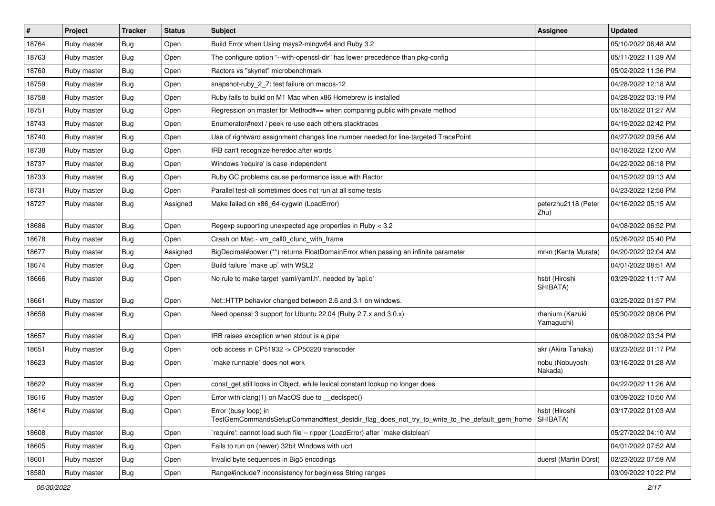| $\vert$ # | Project     | <b>Tracker</b> | <b>Status</b> | Subject                                                                                                             | Assignee                      | <b>Updated</b>      |
|-----------|-------------|----------------|---------------|---------------------------------------------------------------------------------------------------------------------|-------------------------------|---------------------|
| 18764     | Ruby master | Bug            | Open          | Build Error when Using msys2-mingw64 and Ruby 3.2                                                                   |                               | 05/10/2022 06:48 AM |
| 18763     | Ruby master | <b>Bug</b>     | Open          | The configure option "--with-openssl-dir" has lower precedence than pkg-config                                      |                               | 05/11/2022 11:39 AM |
| 18760     | Ruby master | Bug            | Open          | Ractors vs "skynet" microbenchmark                                                                                  |                               | 05/02/2022 11:36 PM |
| 18759     | Ruby master | Bug            | Open          | snapshot-ruby_2_7: test failure on macos-12                                                                         |                               | 04/28/2022 12:18 AM |
| 18758     | Ruby master | <b>Bug</b>     | Open          | Ruby fails to build on M1 Mac when x86 Homebrew is installed                                                        |                               | 04/28/2022 03:19 PM |
| 18751     | Ruby master | Bug            | Open          | Regression on master for Method#== when comparing public with private method                                        |                               | 05/18/2022 01:27 AM |
| 18743     | Ruby master | <b>Bug</b>     | Open          | Enumerator#next / peek re-use each others stacktraces                                                               |                               | 04/19/2022 02:42 PM |
| 18740     | Ruby master | <b>Bug</b>     | Open          | Use of rightward assignment changes line number needed for line-targeted TracePoint                                 |                               | 04/27/2022 09:56 AM |
| 18738     | Ruby master | Bug            | Open          | IRB can't recognize heredoc after words                                                                             |                               | 04/18/2022 12:00 AM |
| 18737     | Ruby master | <b>Bug</b>     | Open          | Windows 'require' is case independent                                                                               |                               | 04/22/2022 06:18 PM |
| 18733     | Ruby master | <b>Bug</b>     | Open          | Ruby GC problems cause performance issue with Ractor                                                                |                               | 04/15/2022 09:13 AM |
| 18731     | Ruby master | Bug            | Open          | Parallel test-all sometimes does not run at all some tests                                                          |                               | 04/23/2022 12:58 PM |
| 18727     | Ruby master | <b>Bug</b>     | Assigned      | Make failed on x86_64-cygwin (LoadError)                                                                            | peterzhu2118 (Peter<br>Zhu)   | 04/16/2022 05:15 AM |
| 18686     | Ruby master | <b>Bug</b>     | Open          | Regexp supporting unexpected age properties in Ruby < 3.2                                                           |                               | 04/08/2022 06:52 PM |
| 18678     | Ruby master | <b>Bug</b>     | Open          | Crash on Mac - vm_call0_cfunc_with_frame                                                                            |                               | 05/26/2022 05:40 PM |
| 18677     | Ruby master | Bug            | Assigned      | BigDecimal#power (**) returns FloatDomainError when passing an infinite parameter                                   | mrkn (Kenta Murata)           | 04/20/2022 02:04 AM |
| 18674     | Ruby master | Bug            | Open          | Build failure `make up` with WSL2                                                                                   |                               | 04/01/2022 08:51 AM |
| 18666     | Ruby master | <b>Bug</b>     | Open          | No rule to make target 'yaml/yaml.h', needed by 'api.o'                                                             | hsbt (Hiroshi<br>SHIBATA)     | 03/29/2022 11:17 AM |
| 18661     | Ruby master | <b>Bug</b>     | Open          | Net::HTTP behavior changed between 2.6 and 3.1 on windows.                                                          |                               | 03/25/2022 01:57 PM |
| 18658     | Ruby master | Bug            | Open          | Need openssl 3 support for Ubuntu 22.04 (Ruby 2.7.x and 3.0.x)                                                      | rhenium (Kazuki<br>Yamaguchi) | 05/30/2022 08:06 PM |
| 18657     | Ruby master | Bug            | Open          | IRB raises exception when stdout is a pipe                                                                          |                               | 06/08/2022 03:34 PM |
| 18651     | Ruby master | Bug            | Open          | oob access in CP51932 -> CP50220 transcoder                                                                         | akr (Akira Tanaka)            | 03/23/2022 01:17 PM |
| 18623     | Ruby master | <b>Bug</b>     | Open          | make runnable' does not work                                                                                        | nobu (Nobuyoshi<br>Nakada)    | 03/16/2022 01:28 AM |
| 18622     | Ruby master | Bug            | Open          | const_get still looks in Object, while lexical constant lookup no longer does                                       |                               | 04/22/2022 11:26 AM |
| 18616     | Ruby master | <b>Bug</b>     | Open          | Error with clang(1) on MacOS due to _declspec()                                                                     |                               | 03/09/2022 10:50 AM |
| 18614     | Ruby master | <b>Bug</b>     | Open          | Error (busy loop) in<br>TestGemCommandsSetupCommand#test_destdir_flag_does_not_try_to_write_to_the_default_gem_home | hsbt (Hiroshi<br>SHIBATA)     | 03/17/2022 01:03 AM |
| 18608     | Ruby master | Bug            | Open          | 'require': cannot load such file -- ripper (LoadError) after 'make distclean'                                       |                               | 05/27/2022 04:10 AM |
| 18605     | Ruby master | Bug            | Open          | Fails to run on (newer) 32bit Windows with ucrt                                                                     |                               | 04/01/2022 07:52 AM |
| 18601     | Ruby master | <b>Bug</b>     | Open          | Invalid byte sequences in Big5 encodings                                                                            | duerst (Martin Dürst)         | 02/23/2022 07:59 AM |
| 18580     | Ruby master | <b>Bug</b>     | Open          | Range#include? inconsistency for beginless String ranges                                                            |                               | 03/09/2022 10:22 PM |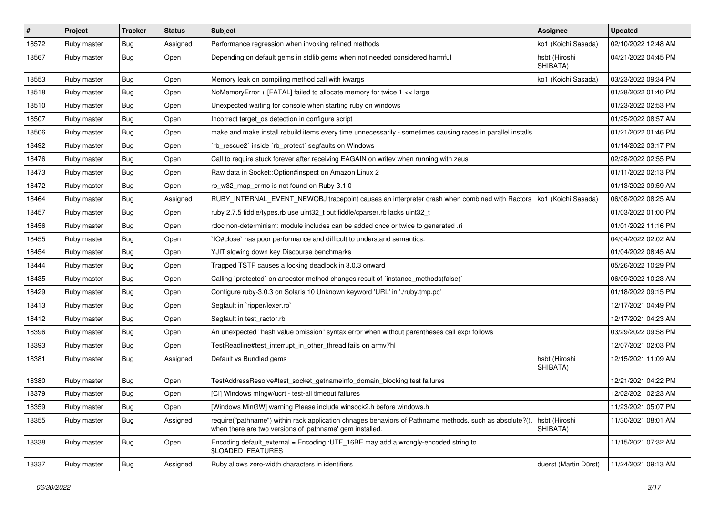| $\sharp$ | Project     | <b>Tracker</b> | <b>Status</b> | Subject                                                                                                                                                             | <b>Assignee</b>           | <b>Updated</b>      |
|----------|-------------|----------------|---------------|---------------------------------------------------------------------------------------------------------------------------------------------------------------------|---------------------------|---------------------|
| 18572    | Ruby master | <b>Bug</b>     | Assigned      | Performance regression when invoking refined methods                                                                                                                | ko1 (Koichi Sasada)       | 02/10/2022 12:48 AM |
| 18567    | Ruby master | <b>Bug</b>     | Open          | Depending on default gems in stdlib gems when not needed considered harmful                                                                                         | hsbt (Hiroshi<br>SHIBATA) | 04/21/2022 04:45 PM |
| 18553    | Ruby master | Bug            | Open          | Memory leak on compiling method call with kwargs                                                                                                                    | ko1 (Koichi Sasada)       | 03/23/2022 09:34 PM |
| 18518    | Ruby master | Bug            | Open          | NoMemoryError + [FATAL] failed to allocate memory for twice 1 << large                                                                                              |                           | 01/28/2022 01:40 PM |
| 18510    | Ruby master | <b>Bug</b>     | Open          | Unexpected waiting for console when starting ruby on windows                                                                                                        |                           | 01/23/2022 02:53 PM |
| 18507    | Ruby master | Bug            | Open          | Incorrect target_os detection in configure script                                                                                                                   |                           | 01/25/2022 08:57 AM |
| 18506    | Ruby master | <b>Bug</b>     | Open          | make and make install rebuild items every time unnecessarily - sometimes causing races in parallel installs                                                         |                           | 01/21/2022 01:46 PM |
| 18492    | Ruby master | Bug            | Open          | 'rb_rescue2' inside 'rb_protect' segfaults on Windows                                                                                                               |                           | 01/14/2022 03:17 PM |
| 18476    | Ruby master | <b>Bug</b>     | Open          | Call to require stuck forever after receiving EAGAIN on writev when running with zeus                                                                               |                           | 02/28/2022 02:55 PM |
| 18473    | Ruby master | Bug            | Open          | Raw data in Socket::Option#inspect on Amazon Linux 2                                                                                                                |                           | 01/11/2022 02:13 PM |
| 18472    | Ruby master | <b>Bug</b>     | Open          | rb_w32_map_errno is not found on Ruby-3.1.0                                                                                                                         |                           | 01/13/2022 09:59 AM |
| 18464    | Ruby master | <b>Bug</b>     | Assigned      | RUBY_INTERNAL_EVENT_NEWOBJ tracepoint causes an interpreter crash when combined with Ractors                                                                        | ko1 (Koichi Sasada)       | 06/08/2022 08:25 AM |
| 18457    | Ruby master | Bug            | Open          | ruby 2.7.5 fiddle/types.rb use uint32_t but fiddle/cparser.rb lacks uint32_t                                                                                        |                           | 01/03/2022 01:00 PM |
| 18456    | Ruby master | <b>Bug</b>     | Open          | rdoc non-determinism: module includes can be added once or twice to generated .ri                                                                                   |                           | 01/01/2022 11:16 PM |
| 18455    | Ruby master | Bug            | Open          | IO#close` has poor performance and difficult to understand semantics.                                                                                               |                           | 04/04/2022 02:02 AM |
| 18454    | Ruby master | <b>Bug</b>     | Open          | YJIT slowing down key Discourse benchmarks                                                                                                                          |                           | 01/04/2022 08:45 AM |
| 18444    | Ruby master | <b>Bug</b>     | Open          | Trapped TSTP causes a locking deadlock in 3.0.3 onward                                                                                                              |                           | 05/26/2022 10:29 PM |
| 18435    | Ruby master | <b>Bug</b>     | Open          | Calling `protected` on ancestor method changes result of `instance_methods(false)`                                                                                  |                           | 06/09/2022 10:23 AM |
| 18429    | Ruby master | <b>Bug</b>     | Open          | Configure ruby-3.0.3 on Solaris 10 Unknown keyword 'URL' in './ruby.tmp.pc'                                                                                         |                           | 01/18/2022 09:15 PM |
| 18413    | Ruby master | <b>Bug</b>     | Open          | Segfault in `ripper/lexer.rb`                                                                                                                                       |                           | 12/17/2021 04:49 PM |
| 18412    | Ruby master | Bug            | Open          | Segfault in test_ractor.rb                                                                                                                                          |                           | 12/17/2021 04:23 AM |
| 18396    | Ruby master | <b>Bug</b>     | Open          | An unexpected "hash value omission" syntax error when without parentheses call expr follows                                                                         |                           | 03/29/2022 09:58 PM |
| 18393    | Ruby master | <b>Bug</b>     | Open          | TestReadline#test interrupt in other thread fails on armv7hl                                                                                                        |                           | 12/07/2021 02:03 PM |
| 18381    | Ruby master | Bug            | Assigned      | Default vs Bundled gems                                                                                                                                             | hsbt (Hiroshi<br>SHIBATA) | 12/15/2021 11:09 AM |
| 18380    | Ruby master | Bug            | Open          | TestAddressResolve#test_socket_getnameinfo_domain_blocking test failures                                                                                            |                           | 12/21/2021 04:22 PM |
| 18379    | Ruby master | Bug            | Open          | [CI] Windows mingw/ucrt - test-all timeout failures                                                                                                                 |                           | 12/02/2021 02:23 AM |
| 18359    | Ruby master | Bug            | Open          | [Windows MinGW] warning Please include winsock2.h before windows.h                                                                                                  |                           | 11/23/2021 05:07 PM |
| 18355    | Ruby master | <b>Bug</b>     | Assigned      | require("pathname") within rack application chnages behaviors of Pathname methods, such as absolute?(),<br>when there are two versions of 'pathname' gem installed. | hsbt (Hiroshi<br>SHIBATA) | 11/30/2021 08:01 AM |
| 18338    | Ruby master | <b>Bug</b>     | Open          | Encoding.default_external = Encoding::UTF_16BE may add a wrongly-encoded string to<br><b>\$LOADED FEATURES</b>                                                      |                           | 11/15/2021 07:32 AM |
| 18337    | Ruby master | <b>Bug</b>     | Assigned      | Ruby allows zero-width characters in identifiers                                                                                                                    | duerst (Martin Dürst)     | 11/24/2021 09:13 AM |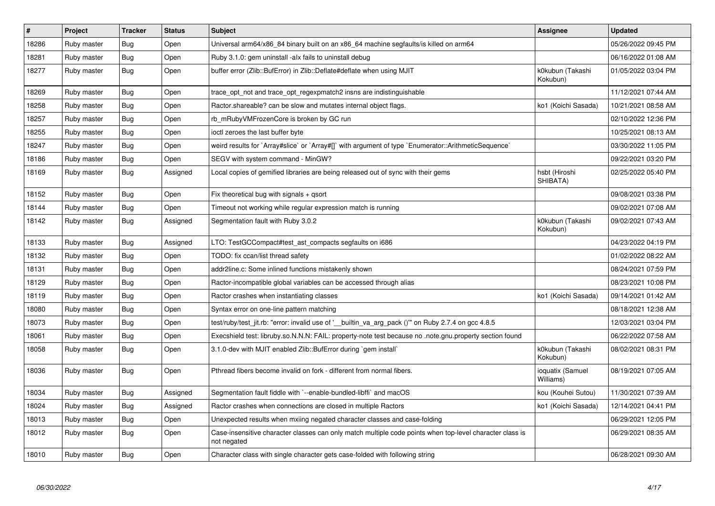| $\vert$ # | Project     | <b>Tracker</b> | <b>Status</b> | <b>Subject</b>                                                                                                          | <b>Assignee</b>               | <b>Updated</b>      |
|-----------|-------------|----------------|---------------|-------------------------------------------------------------------------------------------------------------------------|-------------------------------|---------------------|
| 18286     | Ruby master | <b>Bug</b>     | Open          | Universal arm64/x86_84 binary built on an x86_64 machine segfaults/is killed on arm64                                   |                               | 05/26/2022 09:45 PM |
| 18281     | Ruby master | Bug            | Open          | Ruby 3.1.0: gem uninstall -alx fails to uninstall debug                                                                 |                               | 06/16/2022 01:08 AM |
| 18277     | Ruby master | <b>Bug</b>     | Open          | buffer error (Zlib::BufError) in Zlib::Deflate#deflate when using MJIT                                                  | k0kubun (Takashi<br>Kokubun)  | 01/05/2022 03:04 PM |
| 18269     | Ruby master | <b>Bug</b>     | Open          | trace_opt_not and trace_opt_regexpmatch2 insns are indistinguishable                                                    |                               | 11/12/2021 07:44 AM |
| 18258     | Ruby master | Bug            | Open          | Ractor shareable? can be slow and mutates internal object flags.                                                        | ko1 (Koichi Sasada)           | 10/21/2021 08:58 AM |
| 18257     | Ruby master | <b>Bug</b>     | Open          | rb_mRubyVMFrozenCore is broken by GC run                                                                                |                               | 02/10/2022 12:36 PM |
| 18255     | Ruby master | Bug            | Open          | ioctl zeroes the last buffer byte                                                                                       |                               | 10/25/2021 08:13 AM |
| 18247     | Ruby master | <b>Bug</b>     | Open          | weird results for `Array#slice` or `Array#[]` with argument of type `Enumerator::ArithmeticSequence`                    |                               | 03/30/2022 11:05 PM |
| 18186     | Ruby master | Bug            | Open          | SEGV with system command - MinGW?                                                                                       |                               | 09/22/2021 03:20 PM |
| 18169     | Ruby master | Bug            | Assigned      | Local copies of gemified libraries are being released out of sync with their gems                                       | hsbt (Hiroshi<br>SHIBATA)     | 02/25/2022 05:40 PM |
| 18152     | Ruby master | <b>Bug</b>     | Open          | Fix theoretical bug with signals $+$ qsort                                                                              |                               | 09/08/2021 03:38 PM |
| 18144     | Ruby master | Bug            | Open          | Timeout not working while regular expression match is running                                                           |                               | 09/02/2021 07:08 AM |
| 18142     | Ruby master | <b>Bug</b>     | Assigned      | Segmentation fault with Ruby 3.0.2                                                                                      | k0kubun (Takashi<br>Kokubun)  | 09/02/2021 07:43 AM |
| 18133     | Ruby master | <b>Bug</b>     | Assigned      | LTO: TestGCCompact#test_ast_compacts segfaults on i686                                                                  |                               | 04/23/2022 04:19 PM |
| 18132     | Ruby master | Bug            | Open          | TODO: fix ccan/list thread safety                                                                                       |                               | 01/02/2022 08:22 AM |
| 18131     | Ruby master | <b>Bug</b>     | Open          | addr2line.c: Some inlined functions mistakenly shown                                                                    |                               | 08/24/2021 07:59 PM |
| 18129     | Ruby master | <b>Bug</b>     | Open          | Ractor-incompatible global variables can be accessed through alias                                                      |                               | 08/23/2021 10:08 PM |
| 18119     | Ruby master | <b>Bug</b>     | Open          | Ractor crashes when instantiating classes                                                                               | ko1 (Koichi Sasada)           | 09/14/2021 01:42 AM |
| 18080     | Ruby master | <b>Bug</b>     | Open          | Syntax error on one-line pattern matching                                                                               |                               | 08/18/2021 12:38 AM |
| 18073     | Ruby master | <b>Bug</b>     | Open          | test/ruby/test_jit.rb: "error: invalid use of '__builtin_va_arg_pack ()'" on Ruby 2.7.4 on gcc 4.8.5                    |                               | 12/03/2021 03:04 PM |
| 18061     | Ruby master | <b>Bug</b>     | Open          | Execshield test: libruby.so.N.N.N: FAIL: property-note test because no .note.gnu.property section found                 |                               | 06/22/2022 07:58 AM |
| 18058     | Ruby master | <b>Bug</b>     | Open          | 3.1.0-dev with MJIT enabled Zlib::BufError during `gem install`                                                         | k0kubun (Takashi<br>Kokubun)  | 08/02/2021 08:31 PM |
| 18036     | Ruby master | Bug            | Open          | Pthread fibers become invalid on fork - different from normal fibers.                                                   | ioquatix (Samuel<br>Williams) | 08/19/2021 07:05 AM |
| 18034     | Ruby master | <b>Bug</b>     | Assigned      | Segmentation fault fiddle with `--enable-bundled-libffi` and macOS                                                      | kou (Kouhei Sutou)            | 11/30/2021 07:39 AM |
| 18024     | Ruby master | <b>Bug</b>     | Assigned      | Ractor crashes when connections are closed in multiple Ractors                                                          | ko1 (Koichi Sasada)           | 12/14/2021 04:41 PM |
| 18013     | Ruby master | Bug            | Open          | Unexpected results when mxiing negated character classes and case-folding                                               |                               | 06/29/2021 12:05 PM |
| 18012     | Ruby master | <b>Bug</b>     | Open          | Case-insensitive character classes can only match multiple code points when top-level character class is<br>not negated |                               | 06/29/2021 08:35 AM |
| 18010     | Ruby master | Bug            | Open          | Character class with single character gets case-folded with following string                                            |                               | 06/28/2021 09:30 AM |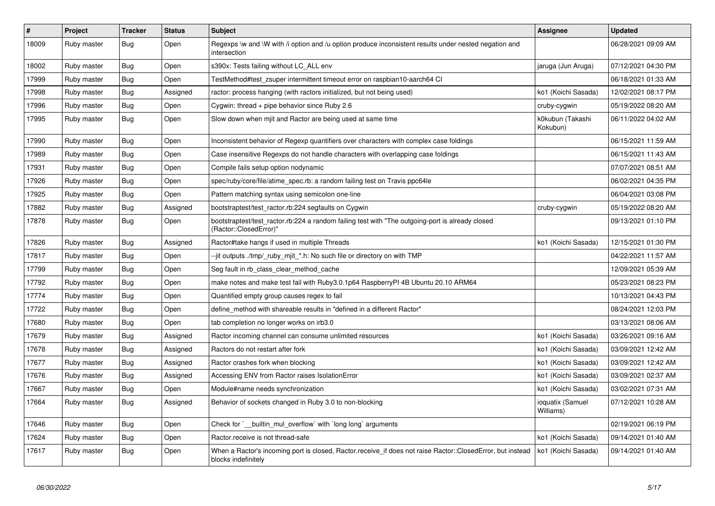| #     | Project     | <b>Tracker</b> | <b>Status</b> | <b>Subject</b>                                                                                                                    | <b>Assignee</b>               | <b>Updated</b>      |
|-------|-------------|----------------|---------------|-----------------------------------------------------------------------------------------------------------------------------------|-------------------------------|---------------------|
| 18009 | Ruby master | <b>Bug</b>     | Open          | Regexps \w and \W with /i option and /u option produce inconsistent results under nested negation and<br>intersection             |                               | 06/28/2021 09:09 AM |
| 18002 | Ruby master | Bug            | Open          | s390x: Tests failing without LC ALL env                                                                                           | jaruga (Jun Aruga)            | 07/12/2021 04:30 PM |
| 17999 | Ruby master | <b>Bug</b>     | Open          | TestMethod#test_zsuper intermittent timeout error on raspbian10-aarch64 CI                                                        |                               | 06/18/2021 01:33 AM |
| 17998 | Ruby master | <b>Bug</b>     | Assigned      | ractor: process hanging (with ractors initialized, but not being used)                                                            | ko1 (Koichi Sasada)           | 12/02/2021 08:17 PM |
| 17996 | Ruby master | <b>Bug</b>     | Open          | Cygwin: thread $+$ pipe behavior since Ruby 2.6                                                                                   | cruby-cygwin                  | 05/19/2022 08:20 AM |
| 17995 | Ruby master | Bug            | Open          | Slow down when mjit and Ractor are being used at same time                                                                        | k0kubun (Takashi<br>Kokubun)  | 06/11/2022 04:02 AM |
| 17990 | Ruby master | Bug            | Open          | Inconsistent behavior of Regexp quantifiers over characters with complex case foldings                                            |                               | 06/15/2021 11:59 AM |
| 17989 | Ruby master | <b>Bug</b>     | Open          | Case insensitive Regexps do not handle characters with overlapping case foldings                                                  |                               | 06/15/2021 11:43 AM |
| 17931 | Ruby master | Bug            | Open          | Compile fails setup option nodynamic                                                                                              |                               | 07/07/2021 08:51 AM |
| 17926 | Ruby master | <b>Bug</b>     | Open          | spec/ruby/core/file/atime_spec.rb: a random failing test on Travis ppc64le                                                        |                               | 06/02/2021 04:35 PM |
| 17925 | Ruby master | Bug            | Open          | Pattern matching syntax using semicolon one-line                                                                                  |                               | 06/04/2021 03:08 PM |
| 17882 | Ruby master | Bug            | Assigned      | bootstraptest/test_ractor.rb:224 segfaults on Cygwin                                                                              | cruby-cygwin                  | 05/19/2022 08:20 AM |
| 17878 | Ruby master | <b>Bug</b>     | Open          | bootstraptest/test ractor.rb:224 a random failing test with "The outgoing-port is already closed<br>(Ractor::ClosedError)"        |                               | 09/13/2021 01:10 PM |
| 17826 | Ruby master | <b>Bug</b>     | Assigned      | Ractor#take hangs if used in multiple Threads                                                                                     | ko1 (Koichi Sasada)           | 12/15/2021 01:30 PM |
| 17817 | Ruby master | <b>Bug</b>     | Open          | --jit outputs ./tmp/_ruby_mjit_*.h: No such file or directory on with TMP                                                         |                               | 04/22/2021 11:57 AM |
| 17799 | Ruby master | Bug            | Open          | Seg fault in rb_class_clear_method_cache                                                                                          |                               | 12/09/2021 05:39 AM |
| 17792 | Ruby master | Bug            | Open          | make notes and make test fail with Ruby 3.0.1 p64 Raspberry PI 4B Ubuntu 20.10 ARM 64                                             |                               | 05/23/2021 08:23 PM |
| 17774 | Ruby master | <b>Bug</b>     | Open          | Quantified empty group causes regex to fail                                                                                       |                               | 10/13/2021 04:43 PM |
| 17722 | Ruby master | <b>Bug</b>     | Open          | define method with shareable results in "defined in a different Ractor"                                                           |                               | 08/24/2021 12:03 PM |
| 17680 | Ruby master | Bug            | Open          | tab completion no longer works on irb3.0                                                                                          |                               | 03/13/2021 08:06 AM |
| 17679 | Ruby master | Bug            | Assigned      | Ractor incoming channel can consume unlimited resources                                                                           | ko1 (Koichi Sasada)           | 03/26/2021 09:16 AM |
| 17678 | Ruby master | Bug            | Assigned      | Ractors do not restart after fork                                                                                                 | ko1 (Koichi Sasada)           | 03/09/2021 12:42 AM |
| 17677 | Ruby master | Bug            | Assigned      | Ractor crashes fork when blocking                                                                                                 | ko1 (Koichi Sasada)           | 03/09/2021 12:42 AM |
| 17676 | Ruby master | Bug            | Assigned      | Accessing ENV from Ractor raises IsolationError                                                                                   | ko1 (Koichi Sasada)           | 03/09/2021 02:37 AM |
| 17667 | Ruby master | <b>Bug</b>     | Open          | Module#name needs synchronization                                                                                                 | ko1 (Koichi Sasada)           | 03/02/2021 07:31 AM |
| 17664 | Ruby master | Bug            | Assigned      | Behavior of sockets changed in Ruby 3.0 to non-blocking                                                                           | ioquatix (Samuel<br>Williams) | 07/12/2021 10:28 AM |
| 17646 | Ruby master | <b>Bug</b>     | Open          | Check for `__builtin_mul_overflow` with `long long` arguments                                                                     |                               | 02/19/2021 06:19 PM |
| 17624 | Ruby master | <b>Bug</b>     | Open          | Ractor.receive is not thread-safe                                                                                                 | ko1 (Koichi Sasada)           | 09/14/2021 01:40 AM |
| 17617 | Ruby master | <b>Bug</b>     | Open          | When a Ractor's incoming port is closed, Ractor.receive_if does not raise Ractor::ClosedError, but instead<br>blocks indefinitely | ko1 (Koichi Sasada)           | 09/14/2021 01:40 AM |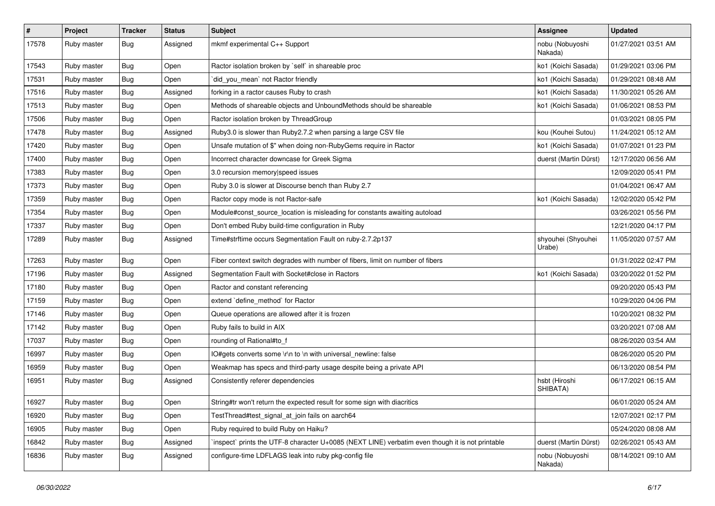| $\vert$ # | Project     | <b>Tracker</b> | <b>Status</b> | Subject                                                                                         | Assignee                     | <b>Updated</b>      |
|-----------|-------------|----------------|---------------|-------------------------------------------------------------------------------------------------|------------------------------|---------------------|
| 17578     | Ruby master | Bug            | Assigned      | mkmf experimental C++ Support                                                                   | nobu (Nobuyoshi<br>Nakada)   | 01/27/2021 03:51 AM |
| 17543     | Ruby master | Bug            | Open          | Ractor isolation broken by `self` in shareable proc                                             | ko1 (Koichi Sasada)          | 01/29/2021 03:06 PM |
| 17531     | Ruby master | <b>Bug</b>     | Open          | did_you_mean' not Ractor friendly                                                               | ko1 (Koichi Sasada)          | 01/29/2021 08:48 AM |
| 17516     | Ruby master | <b>Bug</b>     | Assigned      | forking in a ractor causes Ruby to crash                                                        | ko1 (Koichi Sasada)          | 11/30/2021 05:26 AM |
| 17513     | Ruby master | Bug            | Open          | Methods of shareable objects and UnboundMethods should be shareable                             | ko1 (Koichi Sasada)          | 01/06/2021 08:53 PM |
| 17506     | Ruby master | Bug            | Open          | Ractor isolation broken by ThreadGroup                                                          |                              | 01/03/2021 08:05 PM |
| 17478     | Ruby master | Bug            | Assigned      | Ruby3.0 is slower than Ruby2.7.2 when parsing a large CSV file                                  | kou (Kouhei Sutou)           | 11/24/2021 05:12 AM |
| 17420     | Ruby master | Bug            | Open          | Unsafe mutation of \$" when doing non-RubyGems require in Ractor                                | ko1 (Koichi Sasada)          | 01/07/2021 01:23 PM |
| 17400     | Ruby master | <b>Bug</b>     | Open          | Incorrect character downcase for Greek Sigma                                                    | duerst (Martin Dürst)        | 12/17/2020 06:56 AM |
| 17383     | Ruby master | Bug            | Open          | 3.0 recursion memory speed issues                                                               |                              | 12/09/2020 05:41 PM |
| 17373     | Ruby master | Bug            | Open          | Ruby 3.0 is slower at Discourse bench than Ruby 2.7                                             |                              | 01/04/2021 06:47 AM |
| 17359     | Ruby master | Bug            | Open          | Ractor copy mode is not Ractor-safe                                                             | ko1 (Koichi Sasada)          | 12/02/2020 05:42 PM |
| 17354     | Ruby master | Bug            | Open          | Module#const_source_location is misleading for constants awaiting autoload                      |                              | 03/26/2021 05:56 PM |
| 17337     | Ruby master | Bug            | Open          | Don't embed Ruby build-time configuration in Ruby                                               |                              | 12/21/2020 04:17 PM |
| 17289     | Ruby master | Bug            | Assigned      | Time#strftime occurs Segmentation Fault on ruby-2.7.2p137                                       | shyouhei (Shyouhei<br>Urabe) | 11/05/2020 07:57 AM |
| 17263     | Ruby master | <b>Bug</b>     | Open          | Fiber context switch degrades with number of fibers, limit on number of fibers                  |                              | 01/31/2022 02:47 PM |
| 17196     | Ruby master | Bug            | Assigned      | Segmentation Fault with Socket#close in Ractors                                                 | ko1 (Koichi Sasada)          | 03/20/2022 01:52 PM |
| 17180     | Ruby master | Bug            | Open          | Ractor and constant referencing                                                                 |                              | 09/20/2020 05:43 PM |
| 17159     | Ruby master | <b>Bug</b>     | Open          | extend `define_method` for Ractor                                                               |                              | 10/29/2020 04:06 PM |
| 17146     | Ruby master | Bug            | Open          | Queue operations are allowed after it is frozen                                                 |                              | 10/20/2021 08:32 PM |
| 17142     | Ruby master | <b>Bug</b>     | Open          | Ruby fails to build in AIX                                                                      |                              | 03/20/2021 07:08 AM |
| 17037     | Ruby master | Bug            | Open          | rounding of Rational#to_f                                                                       |                              | 08/26/2020 03:54 AM |
| 16997     | Ruby master | Bug            | Open          | IO#gets converts some \r\n to \n with universal_newline: false                                  |                              | 08/26/2020 05:20 PM |
| 16959     | Ruby master | Bug            | Open          | Weakmap has specs and third-party usage despite being a private API                             |                              | 06/13/2020 08:54 PM |
| 16951     | Ruby master | Bug            | Assigned      | Consistently referer dependencies                                                               | hsbt (Hiroshi<br>SHIBATA)    | 06/17/2021 06:15 AM |
| 16927     | Ruby master | Bug            | Open          | String#tr won't return the expected result for some sign with diacritics                        |                              | 06/01/2020 05:24 AM |
| 16920     | Ruby master | <b>Bug</b>     | Open          | TestThread#test_signal_at_join fails on aarch64                                                 |                              | 12/07/2021 02:17 PM |
| 16905     | Ruby master | <b>Bug</b>     | Open          | Ruby required to build Ruby on Haiku?                                                           |                              | 05/24/2020 08:08 AM |
| 16842     | Ruby master | <b>Bug</b>     | Assigned      | inspect` prints the UTF-8 character U+0085 (NEXT LINE) verbatim even though it is not printable | duerst (Martin Dürst)        | 02/26/2021 05:43 AM |
| 16836     | Ruby master | Bug            | Assigned      | configure-time LDFLAGS leak into ruby pkg-config file                                           | nobu (Nobuyoshi<br>Nakada)   | 08/14/2021 09:10 AM |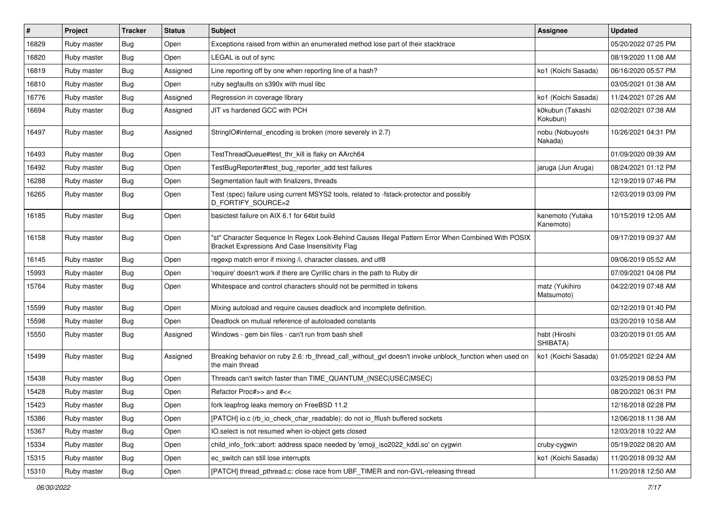| $\vert$ # | Project     | <b>Tracker</b> | <b>Status</b> | Subject                                                                                                                                               | <b>Assignee</b>               | <b>Updated</b>      |
|-----------|-------------|----------------|---------------|-------------------------------------------------------------------------------------------------------------------------------------------------------|-------------------------------|---------------------|
| 16829     | Ruby master | Bug            | Open          | Exceptions raised from within an enumerated method lose part of their stacktrace                                                                      |                               | 05/20/2022 07:25 PM |
| 16820     | Ruby master | <b>Bug</b>     | Open          | LEGAL is out of sync                                                                                                                                  |                               | 08/19/2020 11:08 AM |
| 16819     | Ruby master | Bug            | Assigned      | Line reporting off by one when reporting line of a hash?                                                                                              | ko1 (Koichi Sasada)           | 06/16/2020 05:57 PM |
| 16810     | Ruby master | <b>Bug</b>     | Open          | ruby segfaults on s390x with musl libc                                                                                                                |                               | 03/05/2021 01:38 AM |
| 16776     | Ruby master | Bug            | Assigned      | Regression in coverage library                                                                                                                        | ko1 (Koichi Sasada)           | 11/24/2021 07:26 AM |
| 16694     | Ruby master | Bug            | Assigned      | JIT vs hardened GCC with PCH                                                                                                                          | k0kubun (Takashi<br>Kokubun)  | 02/02/2021 07:38 AM |
| 16497     | Ruby master | Bug            | Assigned      | StringIO#internal encoding is broken (more severely in 2.7)                                                                                           | nobu (Nobuyoshi<br>Nakada)    | 10/26/2021 04:31 PM |
| 16493     | Ruby master | <b>Bug</b>     | Open          | TestThreadQueue#test_thr_kill is flaky on AArch64                                                                                                     |                               | 01/09/2020 09:39 AM |
| 16492     | Ruby master | Bug            | Open          | TestBugReporter#test_bug_reporter_add test failures                                                                                                   | jaruga (Jun Aruga)            | 08/24/2021 01:12 PM |
| 16288     | Ruby master | <b>Bug</b>     | Open          | Segmentation fault with finalizers, threads                                                                                                           |                               | 12/19/2019 07:46 PM |
| 16265     | Ruby master | Bug            | Open          | Test (spec) failure using current MSYS2 tools, related to -fstack-protector and possibly<br>D FORTIFY SOURCE=2                                        |                               | 12/03/2019 03:09 PM |
| 16185     | Ruby master | Bug            | Open          | basictest failure on AIX 6.1 for 64bit build                                                                                                          | kanemoto (Yutaka<br>Kanemoto) | 10/15/2019 12:05 AM |
| 16158     | Ruby master | Bug            | Open          | "st" Character Sequence In Regex Look-Behind Causes Illegal Pattern Error When Combined With POSIX<br>Bracket Expressions And Case Insensitivity Flag |                               | 09/17/2019 09:37 AM |
| 16145     | Ruby master | Bug            | Open          | regexp match error if mixing /i, character classes, and utf8                                                                                          |                               | 09/06/2019 05:52 AM |
| 15993     | Ruby master | Bug            | Open          | 'require' doesn't work if there are Cyrillic chars in the path to Ruby dir                                                                            |                               | 07/09/2021 04:08 PM |
| 15764     | Ruby master | <b>Bug</b>     | Open          | Whitespace and control characters should not be permitted in tokens                                                                                   | matz (Yukihiro<br>Matsumoto)  | 04/22/2019 07:48 AM |
| 15599     | Ruby master | Bug            | Open          | Mixing autoload and require causes deadlock and incomplete definition.                                                                                |                               | 02/12/2019 01:40 PM |
| 15598     | Ruby master | Bug            | Open          | Deadlock on mutual reference of autoloaded constants                                                                                                  |                               | 03/20/2019 10:58 AM |
| 15550     | Ruby master | Bug            | Assigned      | Windows - gem bin files - can't run from bash shell                                                                                                   | hsbt (Hiroshi<br>SHIBATA)     | 03/20/2019 01:05 AM |
| 15499     | Ruby master | Bug            | Assigned      | Breaking behavior on ruby 2.6: rb_thread_call_without_gvl doesn't invoke unblock_function when used on<br>the main thread                             | ko1 (Koichi Sasada)           | 01/05/2021 02:24 AM |
| 15438     | Ruby master | <b>Bug</b>     | Open          | Threads can't switch faster than TIME_QUANTUM_(NSEC USEC MSEC)                                                                                        |                               | 03/25/2019 08:53 PM |
| 15428     | Ruby master | <b>Bug</b>     | Open          | Refactor Proc#>> and #<<                                                                                                                              |                               | 08/20/2021 06:31 PM |
| 15423     | Ruby master | <b>Bug</b>     | Open          | fork leapfrog leaks memory on FreeBSD 11.2                                                                                                            |                               | 12/16/2018 02:28 PM |
| 15386     | Ruby master | <b>Bug</b>     | Open          | [PATCH] io.c (rb io check char readable): do not io fflush buffered sockets                                                                           |                               | 12/06/2018 11:38 AM |
| 15367     | Ruby master | <b>Bug</b>     | Open          | IO.select is not resumed when io-object gets closed                                                                                                   |                               | 12/03/2018 10:22 AM |
| 15334     | Ruby master | <b>Bug</b>     | Open          | child_info_fork::abort: address space needed by 'emoji_iso2022_kddi.so' on cygwin                                                                     | cruby-cygwin                  | 05/19/2022 08:20 AM |
| 15315     | Ruby master | <b>Bug</b>     | Open          | ec switch can still lose interrupts                                                                                                                   | ko1 (Koichi Sasada)           | 11/20/2018 09:32 AM |
| 15310     | Ruby master | <b>Bug</b>     | Open          | [PATCH] thread_pthread.c: close race from UBF_TIMER and non-GVL-releasing thread                                                                      |                               | 11/20/2018 12:50 AM |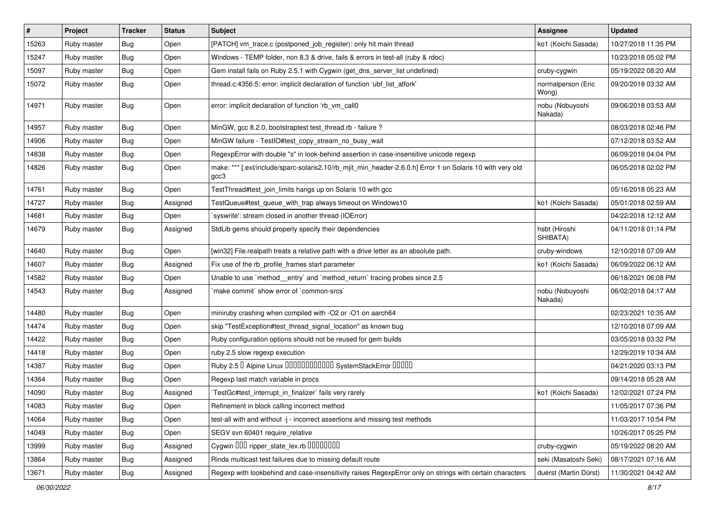| $\vert$ # | Project     | <b>Tracker</b> | <b>Status</b> | Subject                                                                                                           | Assignee                    | <b>Updated</b>      |
|-----------|-------------|----------------|---------------|-------------------------------------------------------------------------------------------------------------------|-----------------------------|---------------------|
| 15263     | Ruby master | Bug            | Open          | [PATCH] vm_trace.c (postponed_job_register): only hit main thread                                                 | ko1 (Koichi Sasada)         | 10/27/2018 11:35 PM |
| 15247     | Ruby master | Bug            | Open          | Windows - TEMP folder, non 8.3 & drive, fails & errors in test-all (ruby & rdoc)                                  |                             | 10/23/2018 05:02 PM |
| 15097     | Ruby master | <b>Bug</b>     | Open          | Gem install fails on Ruby 2.5.1 with Cygwin (get_dns_server_list undefined)                                       | cruby-cygwin                | 05/19/2022 08:20 AM |
| 15072     | Ruby master | <b>Bug</b>     | Open          | thread.c:4356:5: error: implicit declaration of function 'ubf_list_atfork'                                        | normalperson (Eric<br>Wong) | 09/20/2018 03:32 AM |
| 14971     | Ruby master | <b>Bug</b>     | Open          | error: implicit declaration of function 'rb_vm_call0                                                              | nobu (Nobuyoshi<br>Nakada)  | 09/06/2018 03:53 AM |
| 14957     | Ruby master | <b>Bug</b>     | Open          | MinGW, gcc 8.2.0, bootstraptest test_thread.rb - failure ?                                                        |                             | 08/03/2018 02:46 PM |
| 14906     | Ruby master | Bug            | Open          | MinGW failure - TestIO#test_copy_stream_no_busy_wait                                                              |                             | 07/12/2018 03:52 AM |
| 14838     | Ruby master | <b>Bug</b>     | Open          | RegexpError with double "s" in look-behind assertion in case-insensitive unicode regexp                           |                             | 06/09/2018 04:04 PM |
| 14826     | Ruby master | <b>Bug</b>     | Open          | make: *** [.ext/include/sparc-solaris2.10/rb_mjit_min_header-2.6.0.h] Error 1 on Solaris 10 with very old<br>gcc3 |                             | 06/05/2018 02:02 PM |
| 14761     | Ruby master | <b>Bug</b>     | Open          | TestThread#test_join_limits hangs up on Solaris 10 with gcc                                                       |                             | 05/16/2018 05:23 AM |
| 14727     | Ruby master | <b>Bug</b>     | Assigned      | TestQueue#test_queue_with_trap always timeout on Windows10                                                        | ko1 (Koichi Sasada)         | 05/01/2018 02:59 AM |
| 14681     | Ruby master | <b>Bug</b>     | Open          | 'syswrite': stream closed in another thread (IOError)                                                             |                             | 04/22/2018 12:12 AM |
| 14679     | Ruby master | <b>Bug</b>     | Assigned      | StdLib gems should properly specify their dependencies                                                            | hsbt (Hiroshi<br>SHIBATA)   | 04/11/2018 01:14 PM |
| 14640     | Ruby master | <b>Bug</b>     | Open          | [win32] File.realpath treats a relative path with a drive letter as an absolute path.                             | cruby-windows               | 12/10/2018 07:09 AM |
| 14607     | Ruby master | <b>Bug</b>     | Assigned      | Fix use of the rb_profile_frames start parameter                                                                  | ko1 (Koichi Sasada)         | 06/09/2022 06:12 AM |
| 14582     | Ruby master | Bug            | Open          | Unable to use `method_entry` and `method_return` tracing probes since 2.5                                         |                             | 06/18/2021 06:08 PM |
| 14543     | Ruby master | <b>Bug</b>     | Assigned      | 'make commit' show error of 'common-srcs'                                                                         | nobu (Nobuyoshi<br>Nakada)  | 06/02/2018 04:17 AM |
| 14480     | Ruby master | <b>Bug</b>     | Open          | miniruby crashing when compiled with -O2 or -O1 on aarch64                                                        |                             | 02/23/2021 10:35 AM |
| 14474     | Ruby master | <b>Bug</b>     | Open          | skip "TestException#test_thread_signal_location" as known bug                                                     |                             | 12/10/2018 07:09 AM |
| 14422     | Ruby master | <b>Bug</b>     | Open          | Ruby configuration options should not be reused for gem builds                                                    |                             | 03/05/2018 03:32 PM |
| 14418     | Ruby master | <b>Bug</b>     | Open          | ruby 2.5 slow regexp execution                                                                                    |                             | 12/29/2019 10:34 AM |
| 14387     | Ruby master | <b>Bug</b>     | Open          | Ruby 2.5 <sup>D</sup> Alpine Linux 000000000000 SystemStackError 00000                                            |                             | 04/21/2020 03:13 PM |
| 14364     | Ruby master | Bug            | Open          | Regexp last match variable in procs                                                                               |                             | 09/14/2018 05:28 AM |
| 14090     | Ruby master | <b>Bug</b>     | Assigned      | TestGc#test_interrupt_in_finalizer` fails very rarely                                                             | ko1 (Koichi Sasada)         | 12/02/2021 07:24 PM |
| 14083     | Ruby master | Bug            | Open          | Refinement in block calling incorrect method                                                                      |                             | 11/05/2017 07:36 PM |
| 14064     | Ruby master | <b>Bug</b>     | Open          | test-all with and without -j - incorrect assertions and missing test methods                                      |                             | 11/03/2017 10:54 PM |
| 14049     | Ruby master | <b>Bug</b>     | Open          | SEGV svn 60401 require_relative                                                                                   |                             | 10/26/2017 05:25 PM |
| 13999     | Ruby master | <b>Bug</b>     | Assigned      | Cygwin 000 ripper_state_lex.rb 0000000                                                                            | cruby-cygwin                | 05/19/2022 08:20 AM |
| 13864     | Ruby master | <b>Bug</b>     | Assigned      | Rinda multicast test failures due to missing default route                                                        | seki (Masatoshi Seki)       | 08/17/2021 07:16 AM |
| 13671     | Ruby master | Bug            | Assigned      | Regexp with lookbehind and case-insensitivity raises RegexpError only on strings with certain characters          | duerst (Martin Dürst)       | 11/30/2021 04:42 AM |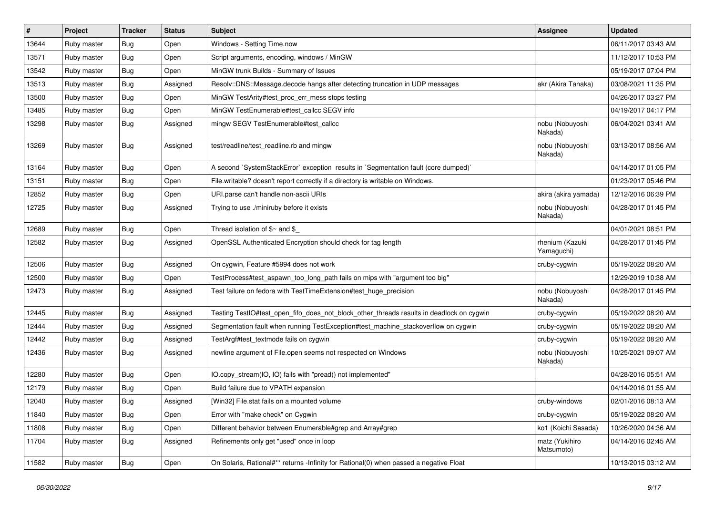| $\pmb{\#}$ | Project     | <b>Tracker</b>   | <b>Status</b> | Subject                                                                                  | <b>Assignee</b>               | <b>Updated</b>      |
|------------|-------------|------------------|---------------|------------------------------------------------------------------------------------------|-------------------------------|---------------------|
| 13644      | Ruby master | <b>Bug</b>       | Open          | Windows - Setting Time.now                                                               |                               | 06/11/2017 03:43 AM |
| 13571      | Ruby master | <b>Bug</b>       | Open          | Script arguments, encoding, windows / MinGW                                              |                               | 11/12/2017 10:53 PM |
| 13542      | Ruby master | <b>Bug</b>       | Open          | MinGW trunk Builds - Summary of Issues                                                   |                               | 05/19/2017 07:04 PM |
| 13513      | Ruby master | <b>Bug</b>       | Assigned      | Resolv::DNS::Message.decode hangs after detecting truncation in UDP messages             | akr (Akira Tanaka)            | 03/08/2021 11:35 PM |
| 13500      | Ruby master | <b>Bug</b>       | Open          | MinGW TestArity#test_proc_err_mess stops testing                                         |                               | 04/26/2017 03:27 PM |
| 13485      | Ruby master | <b>Bug</b>       | Open          | MinGW TestEnumerable#test_callcc SEGV info                                               |                               | 04/19/2017 04:17 PM |
| 13298      | Ruby master | <b>Bug</b>       | Assigned      | mingw SEGV TestEnumerable#test_callcc                                                    | nobu (Nobuyoshi<br>Nakada)    | 06/04/2021 03:41 AM |
| 13269      | Ruby master | Bug              | Assigned      | test/readline/test_readline.rb and mingw                                                 | nobu (Nobuyoshi<br>Nakada)    | 03/13/2017 08:56 AM |
| 13164      | Ruby master | <b>Bug</b>       | Open          | A second `SystemStackError` exception results in `Segmentation fault (core dumped)`      |                               | 04/14/2017 01:05 PM |
| 13151      | Ruby master | <b>Bug</b>       | Open          | File.writable? doesn't report correctly if a directory is writable on Windows.           |                               | 01/23/2017 05:46 PM |
| 12852      | Ruby master | <b>Bug</b>       | Open          | URI.parse can't handle non-ascii URIs                                                    | akira (akira yamada)          | 12/12/2016 06:39 PM |
| 12725      | Ruby master | <b>Bug</b>       | Assigned      | Trying to use ./miniruby before it exists                                                | nobu (Nobuyoshi<br>Nakada)    | 04/28/2017 01:45 PM |
| 12689      | Ruby master | <b>Bug</b>       | Open          | Thread isolation of $$~$ and \$                                                          |                               | 04/01/2021 08:51 PM |
| 12582      | Ruby master | <b>Bug</b>       | Assigned      | OpenSSL Authenticated Encryption should check for tag length                             | rhenium (Kazuki<br>Yamaguchi) | 04/28/2017 01:45 PM |
| 12506      | Ruby master | Bug              | Assigned      | On cygwin, Feature #5994 does not work                                                   | cruby-cygwin                  | 05/19/2022 08:20 AM |
| 12500      | Ruby master | <b>Bug</b>       | Open          | TestProcess#test_aspawn_too_long_path fails on mips with "argument too big"              |                               | 12/29/2019 10:38 AM |
| 12473      | Ruby master | <b>Bug</b>       | Assigned      | Test failure on fedora with TestTimeExtension#test_huge_precision                        | nobu (Nobuyoshi<br>Nakada)    | 04/28/2017 01:45 PM |
| 12445      | Ruby master | <b>Bug</b>       | Assigned      | Testing TestlO#test_open_fifo_does_not_block_other_threads results in deadlock on cygwin | cruby-cygwin                  | 05/19/2022 08:20 AM |
| 12444      | Ruby master | <b>Bug</b>       | Assigned      | Segmentation fault when running TestException#test_machine_stackoverflow on cygwin       | cruby-cygwin                  | 05/19/2022 08:20 AM |
| 12442      | Ruby master | <b>Bug</b>       | Assigned      | TestArgf#test_textmode fails on cygwin                                                   | cruby-cygwin                  | 05/19/2022 08:20 AM |
| 12436      | Ruby master | <b>Bug</b>       | Assigned      | newline argument of File.open seems not respected on Windows                             | nobu (Nobuyoshi<br>Nakada)    | 10/25/2021 09:07 AM |
| 12280      | Ruby master | <b>Bug</b>       | Open          | IO.copy_stream(IO, IO) fails with "pread() not implemented"                              |                               | 04/28/2016 05:51 AM |
| 12179      | Ruby master | <b>Bug</b>       | Open          | Build failure due to VPATH expansion                                                     |                               | 04/14/2016 01:55 AM |
| 12040      | Ruby master | <sub>I</sub> Bug | Assigned      | [Win32] File.stat fails on a mounted volume                                              | cruby-windows                 | 02/01/2016 08:13 AM |
| 11840      | Ruby master | <b>Bug</b>       | Open          | Error with "make check" on Cygwin                                                        | cruby-cygwin                  | 05/19/2022 08:20 AM |
| 11808      | Ruby master | Bug              | Open          | Different behavior between Enumerable#grep and Array#grep                                | ko1 (Koichi Sasada)           | 10/26/2020 04:36 AM |
| 11704      | Ruby master | Bug              | Assigned      | Refinements only get "used" once in loop                                                 | matz (Yukihiro<br>Matsumoto)  | 04/14/2016 02:45 AM |
| 11582      | Ruby master | <b>Bug</b>       | Open          | On Solaris, Rational#** returns -Infinity for Rational(0) when passed a negative Float   |                               | 10/13/2015 03:12 AM |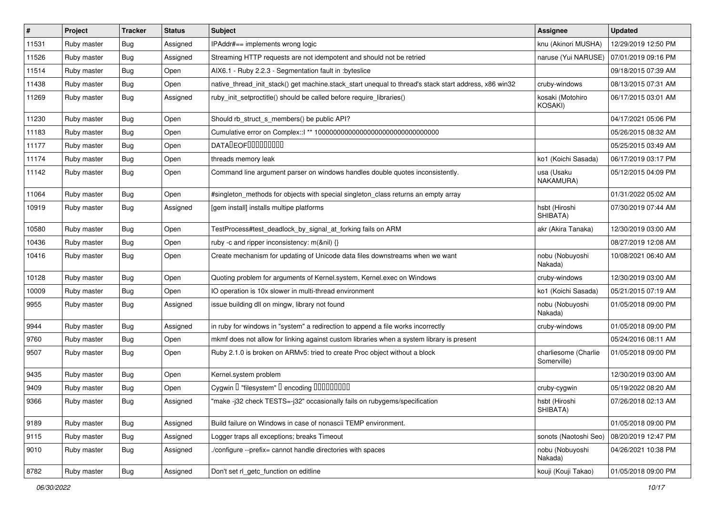| #     | Project     | <b>Tracker</b>   | <b>Status</b> | Subject                                                                                               | <b>Assignee</b>                     | <b>Updated</b>      |
|-------|-------------|------------------|---------------|-------------------------------------------------------------------------------------------------------|-------------------------------------|---------------------|
| 11531 | Ruby master | <b>Bug</b>       | Assigned      | IPAddr#== implements wrong logic                                                                      | knu (Akinori MUSHA)                 | 12/29/2019 12:50 PM |
| 11526 | Ruby master | <b>Bug</b>       | Assigned      | Streaming HTTP requests are not idempotent and should not be retried                                  | naruse (Yui NARUSE)                 | 07/01/2019 09:16 PM |
| 11514 | Ruby master | <b>Bug</b>       | Open          | AIX6.1 - Ruby 2.2.3 - Segmentation fault in :byteslice                                                |                                     | 09/18/2015 07:39 AM |
| 11438 | Ruby master | <b>Bug</b>       | Open          | native_thread_init_stack() get machine.stack_start unequal to thread's stack start address, x86 win32 | cruby-windows                       | 08/13/2015 07:31 AM |
| 11269 | Ruby master | <b>Bug</b>       | Assigned      | ruby init setproctitle() should be called before require libraries()                                  | kosaki (Motohiro<br>KOSAKI)         | 06/17/2015 03:01 AM |
| 11230 | Ruby master | <b>Bug</b>       | Open          | Should rb_struct_s_members() be public API?                                                           |                                     | 04/17/2021 05:06 PM |
| 11183 | Ruby master | <b>Bug</b>       | Open          | Cumulative error on Complex::   ** 100000000000000000000000000000000                                  |                                     | 05/26/2015 08:32 AM |
| 11177 | Ruby master | <b>Bug</b>       | Open          | DATALEOFILLLLLLLLLL                                                                                   |                                     | 05/25/2015 03:49 AM |
| 11174 | Ruby master | <b>Bug</b>       | Open          | threads memory leak                                                                                   | ko1 (Koichi Sasada)                 | 06/17/2019 03:17 PM |
| 11142 | Ruby master | <b>Bug</b>       | Open          | Command line argument parser on windows handles double quotes inconsistently.                         | usa (Usaku<br>NAKAMURA)             | 05/12/2015 04:09 PM |
| 11064 | Ruby master | <b>Bug</b>       | Open          | #singleton_methods for objects with special singleton_class returns an empty array                    |                                     | 01/31/2022 05:02 AM |
| 10919 | Ruby master | <b>Bug</b>       | Assigned      | [gem install] installs multipe platforms                                                              | hsbt (Hiroshi<br>SHIBATA)           | 07/30/2019 07:44 AM |
| 10580 | Ruby master | <b>Bug</b>       | Open          | TestProcess#test_deadlock_by_signal_at_forking fails on ARM                                           | akr (Akira Tanaka)                  | 12/30/2019 03:00 AM |
| 10436 | Ruby master | <b>Bug</b>       | Open          | ruby -c and ripper inconsistency: m(&nil) {}                                                          |                                     | 08/27/2019 12:08 AM |
| 10416 | Ruby master | <b>Bug</b>       | Open          | Create mechanism for updating of Unicode data files downstreams when we want                          | nobu (Nobuyoshi<br>Nakada)          | 10/08/2021 06:40 AM |
| 10128 | Ruby master | <b>Bug</b>       | Open          | Quoting problem for arguments of Kernel.system, Kernel.exec on Windows                                | cruby-windows                       | 12/30/2019 03:00 AM |
| 10009 | Ruby master | <b>Bug</b>       | Open          | IO operation is 10x slower in multi-thread environment                                                | ko1 (Koichi Sasada)                 | 05/21/2015 07:19 AM |
| 9955  | Ruby master | <b>Bug</b>       | Assigned      | issue building dll on mingw, library not found                                                        | nobu (Nobuyoshi<br>Nakada)          | 01/05/2018 09:00 PM |
| 9944  | Ruby master | <b>Bug</b>       | Assigned      | in ruby for windows in "system" a redirection to append a file works incorrectly                      | cruby-windows                       | 01/05/2018 09:00 PM |
| 9760  | Ruby master | <b>Bug</b>       | Open          | mkmf does not allow for linking against custom libraries when a system library is present             |                                     | 05/24/2016 08:11 AM |
| 9507  | Ruby master | <b>Bug</b>       | Open          | Ruby 2.1.0 is broken on ARMv5: tried to create Proc object without a block                            | charliesome (Charlie<br>Somerville) | 01/05/2018 09:00 PM |
| 9435  | Ruby master | <b>Bug</b>       | Open          | Kernel.system problem                                                                                 |                                     | 12/30/2019 03:00 AM |
| 9409  | Ruby master | <b>Bug</b>       | Open          | Cygwin I "filesystem" I encoding IIIIIIIIIIIII                                                        | cruby-cygwin                        | 05/19/2022 08:20 AM |
| 9366  | Ruby master | <sub>I</sub> Bug | Assigned      | "make -j32 check TESTS=-j32" occasionally fails on rubygems/specification                             | hsbt (Hiroshi<br>SHIBATA)           | 07/26/2018 02:13 AM |
| 9189  | Ruby master | <b>Bug</b>       | Assigned      | Build failure on Windows in case of nonascii TEMP environment.                                        |                                     | 01/05/2018 09:00 PM |
| 9115  | Ruby master | <b>Bug</b>       | Assigned      | Logger traps all exceptions; breaks Timeout                                                           | sonots (Naotoshi Seo)               | 08/20/2019 12:47 PM |
| 9010  | Ruby master | <b>Bug</b>       | Assigned      | /configure --prefix= cannot handle directories with spaces                                            | nobu (Nobuyoshi<br>Nakada)          | 04/26/2021 10:38 PM |
| 8782  | Ruby master | <b>Bug</b>       | Assigned      | Don't set rl_getc_function on editline                                                                | kouji (Kouji Takao)                 | 01/05/2018 09:00 PM |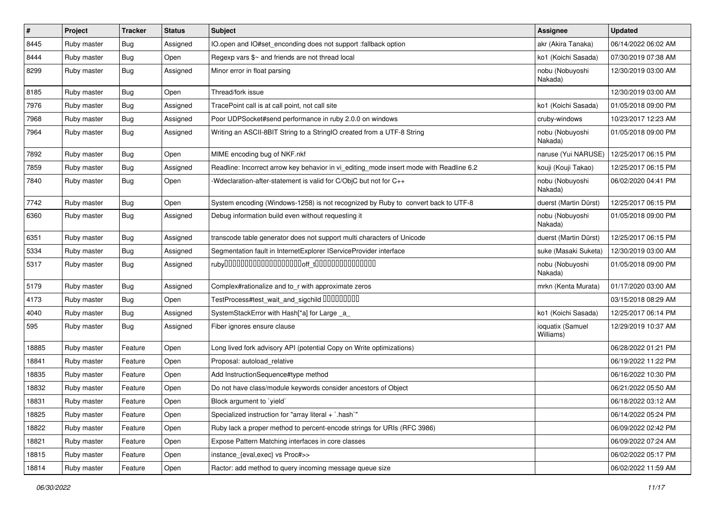| $\sharp$ | Project     | <b>Tracker</b> | <b>Status</b> | Subject                                                                                 | <b>Assignee</b>               | <b>Updated</b>      |
|----------|-------------|----------------|---------------|-----------------------------------------------------------------------------------------|-------------------------------|---------------------|
| 8445     | Ruby master | Bug            | Assigned      | IO.open and IO#set_enconding does not support :fallback option                          | akr (Akira Tanaka)            | 06/14/2022 06:02 AM |
| 8444     | Ruby master | <b>Bug</b>     | Open          | Regexp vars \$~ and friends are not thread local                                        | ko1 (Koichi Sasada)           | 07/30/2019 07:38 AM |
| 8299     | Ruby master | <b>Bug</b>     | Assigned      | Minor error in float parsing                                                            | nobu (Nobuyoshi<br>Nakada)    | 12/30/2019 03:00 AM |
| 8185     | Ruby master | <b>Bug</b>     | Open          | Thread/fork issue                                                                       |                               | 12/30/2019 03:00 AM |
| 7976     | Ruby master | Bug            | Assigned      | TracePoint call is at call point, not call site                                         | ko1 (Koichi Sasada)           | 01/05/2018 09:00 PM |
| 7968     | Ruby master | Bug            | Assigned      | Poor UDPSocket#send performance in ruby 2.0.0 on windows                                | cruby-windows                 | 10/23/2017 12:23 AM |
| 7964     | Ruby master | <b>Bug</b>     | Assigned      | Writing an ASCII-8BIT String to a StringIO created from a UTF-8 String                  | nobu (Nobuyoshi<br>Nakada)    | 01/05/2018 09:00 PM |
| 7892     | Ruby master | <b>Bug</b>     | Open          | MIME encoding bug of NKF.nkf                                                            | naruse (Yui NARUSE)           | 12/25/2017 06:15 PM |
| 7859     | Ruby master | Bug            | Assigned      | Readline: Incorrect arrow key behavior in vi editing mode insert mode with Readline 6.2 | kouji (Kouji Takao)           | 12/25/2017 06:15 PM |
| 7840     | Ruby master | Bug            | Open          | -Wdeclaration-after-statement is valid for C/ObjC but not for C++                       | nobu (Nobuyoshi<br>Nakada)    | 06/02/2020 04:41 PM |
| 7742     | Ruby master | <b>Bug</b>     | Open          | System encoding (Windows-1258) is not recognized by Ruby to convert back to UTF-8       | duerst (Martin Dürst)         | 12/25/2017 06:15 PM |
| 6360     | Ruby master | Bug            | Assigned      | Debug information build even without requesting it                                      | nobu (Nobuyoshi<br>Nakada)    | 01/05/2018 09:00 PM |
| 6351     | Ruby master | Bug            | Assigned      | transcode table generator does not support multi characters of Unicode                  | duerst (Martin Dürst)         | 12/25/2017 06:15 PM |
| 5334     | Ruby master | <b>Bug</b>     | Assigned      | Segmentation fault in InternetExplorer IServiceProvider interface                       | suke (Masaki Suketa)          | 12/30/2019 03:00 AM |
| 5317     | Ruby master | Bug            | Assigned      |                                                                                         | nobu (Nobuyoshi<br>Nakada)    | 01/05/2018 09:00 PM |
| 5179     | Ruby master | <b>Bug</b>     | Assigned      | Complex#rationalize and to_r with approximate zeros                                     | mrkn (Kenta Murata)           | 01/17/2020 03:00 AM |
| 4173     | Ruby master | <b>Bug</b>     | Open          | TestProcess#test_wait_and_sigchild DDDDDDDD                                             |                               | 03/15/2018 08:29 AM |
| 4040     | Ruby master | <b>Bug</b>     | Assigned      | SystemStackError with Hash[*a] for Large _a_                                            | ko1 (Koichi Sasada)           | 12/25/2017 06:14 PM |
| 595      | Ruby master | Bug            | Assigned      | Fiber ignores ensure clause                                                             | ioquatix (Samuel<br>Williams) | 12/29/2019 10:37 AM |
| 18885    | Ruby master | Feature        | Open          | Long lived fork advisory API (potential Copy on Write optimizations)                    |                               | 06/28/2022 01:21 PM |
| 18841    | Ruby master | Feature        | Open          | Proposal: autoload_relative                                                             |                               | 06/19/2022 11:22 PM |
| 18835    | Ruby master | Feature        | Open          | Add InstructionSequence#type method                                                     |                               | 06/16/2022 10:30 PM |
| 18832    | Ruby master | Feature        | Open          | Do not have class/module keywords consider ancestors of Object                          |                               | 06/21/2022 05:50 AM |
| 18831    | Ruby master | Feature        | Open          | Block argument to 'yield'                                                               |                               | 06/18/2022 03:12 AM |
| 18825    | Ruby master | Feature        | Open          | Specialized instruction for "array literal + `.hash`"                                   |                               | 06/14/2022 05:24 PM |
| 18822    | Ruby master | Feature        | Open          | Ruby lack a proper method to percent-encode strings for URIs (RFC 3986)                 |                               | 06/09/2022 02:42 PM |
| 18821    | Ruby master | Feature        | Open          | Expose Pattern Matching interfaces in core classes                                      |                               | 06/09/2022 07:24 AM |
| 18815    | Ruby master | Feature        | Open          | instance_{eval,exec} vs Proc#>>                                                         |                               | 06/02/2022 05:17 PM |
| 18814    | Ruby master | Feature        | Open          | Ractor: add method to query incoming message queue size                                 |                               | 06/02/2022 11:59 AM |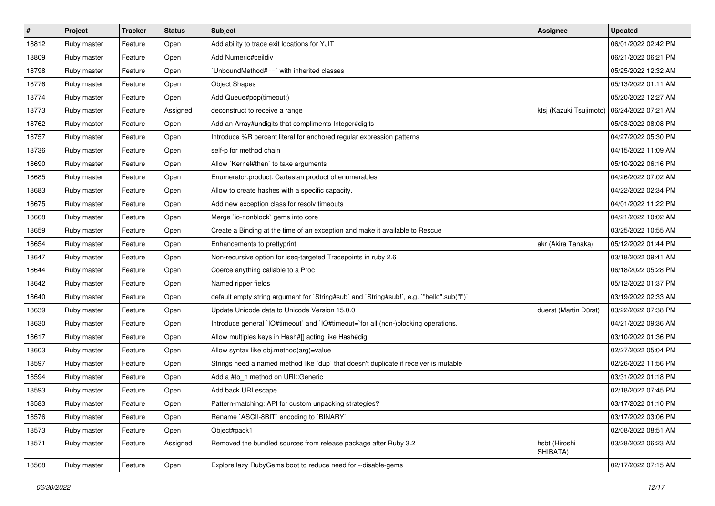| $\vert$ # | Project     | <b>Tracker</b> | <b>Status</b> | Subject                                                                                   | <b>Assignee</b>           | <b>Updated</b>      |
|-----------|-------------|----------------|---------------|-------------------------------------------------------------------------------------------|---------------------------|---------------------|
| 18812     | Ruby master | Feature        | Open          | Add ability to trace exit locations for YJIT                                              |                           | 06/01/2022 02:42 PM |
| 18809     | Ruby master | Feature        | Open          | Add Numeric#ceildiv                                                                       |                           | 06/21/2022 06:21 PM |
| 18798     | Ruby master | Feature        | Open          | UnboundMethod#==`with inherited classes                                                   |                           | 05/25/2022 12:32 AM |
| 18776     | Ruby master | Feature        | Open          | <b>Object Shapes</b>                                                                      |                           | 05/13/2022 01:11 AM |
| 18774     | Ruby master | Feature        | Open          | Add Queue#pop(timeout:)                                                                   |                           | 05/20/2022 12:27 AM |
| 18773     | Ruby master | Feature        | Assigned      | deconstruct to receive a range                                                            | ktsj (Kazuki Tsujimoto)   | 06/24/2022 07:21 AM |
| 18762     | Ruby master | Feature        | Open          | Add an Array#undigits that compliments Integer#digits                                     |                           | 05/03/2022 08:08 PM |
| 18757     | Ruby master | Feature        | Open          | Introduce %R percent literal for anchored regular expression patterns                     |                           | 04/27/2022 05:30 PM |
| 18736     | Ruby master | Feature        | Open          | self-p for method chain                                                                   |                           | 04/15/2022 11:09 AM |
| 18690     | Ruby master | Feature        | Open          | Allow `Kernel#then` to take arguments                                                     |                           | 05/10/2022 06:16 PM |
| 18685     | Ruby master | Feature        | Open          | Enumerator.product: Cartesian product of enumerables                                      |                           | 04/26/2022 07:02 AM |
| 18683     | Ruby master | Feature        | Open          | Allow to create hashes with a specific capacity.                                          |                           | 04/22/2022 02:34 PM |
| 18675     | Ruby master | Feature        | Open          | Add new exception class for resolv timeouts                                               |                           | 04/01/2022 11:22 PM |
| 18668     | Ruby master | Feature        | Open          | Merge `io-nonblock` gems into core                                                        |                           | 04/21/2022 10:02 AM |
| 18659     | Ruby master | Feature        | Open          | Create a Binding at the time of an exception and make it available to Rescue              |                           | 03/25/2022 10:55 AM |
| 18654     | Ruby master | Feature        | Open          | Enhancements to prettyprint                                                               | akr (Akira Tanaka)        | 05/12/2022 01:44 PM |
| 18647     | Ruby master | Feature        | Open          | Non-recursive option for iseq-targeted Tracepoints in ruby 2.6+                           |                           | 03/18/2022 09:41 AM |
| 18644     | Ruby master | Feature        | Open          | Coerce anything callable to a Proc                                                        |                           | 06/18/2022 05:28 PM |
| 18642     | Ruby master | Feature        | Open          | Named ripper fields                                                                       |                           | 05/12/2022 01:37 PM |
| 18640     | Ruby master | Feature        | Open          | default empty string argument for `String#sub` and `String#sub!`, e.g. `"hello".sub("I")` |                           | 03/19/2022 02:33 AM |
| 18639     | Ruby master | Feature        | Open          | Update Unicode data to Unicode Version 15.0.0                                             | duerst (Martin Dürst)     | 03/22/2022 07:38 PM |
| 18630     | Ruby master | Feature        | Open          | Introduce general `IO#timeout` and `IO#timeout=`for all (non-)blocking operations.        |                           | 04/21/2022 09:36 AM |
| 18617     | Ruby master | Feature        | Open          | Allow multiples keys in Hash#[] acting like Hash#dig                                      |                           | 03/10/2022 01:36 PM |
| 18603     | Ruby master | Feature        | Open          | Allow syntax like obj.method(arg)=value                                                   |                           | 02/27/2022 05:04 PM |
| 18597     | Ruby master | Feature        | Open          | Strings need a named method like 'dup' that doesn't duplicate if receiver is mutable      |                           | 02/26/2022 11:56 PM |
| 18594     | Ruby master | Feature        | Open          | Add a #to_h method on URI::Generic                                                        |                           | 03/31/2022 01:18 PM |
| 18593     | Ruby master | Feature        | Open          | Add back URI.escape                                                                       |                           | 02/18/2022 07:45 PM |
| 18583     | Ruby master | Feature        | Open          | Pattern-matching: API for custom unpacking strategies?                                    |                           | 03/17/2022 01:10 PM |
| 18576     | Ruby master | Feature        | Open          | Rename `ASCII-8BIT` encoding to `BINARY`                                                  |                           | 03/17/2022 03:06 PM |
| 18573     | Ruby master | Feature        | Open          | Object#pack1                                                                              |                           | 02/08/2022 08:51 AM |
| 18571     | Ruby master | Feature        | Assigned      | Removed the bundled sources from release package after Ruby 3.2                           | hsbt (Hiroshi<br>SHIBATA) | 03/28/2022 06:23 AM |
| 18568     | Ruby master | Feature        | Open          | Explore lazy RubyGems boot to reduce need for --disable-gems                              |                           | 02/17/2022 07:15 AM |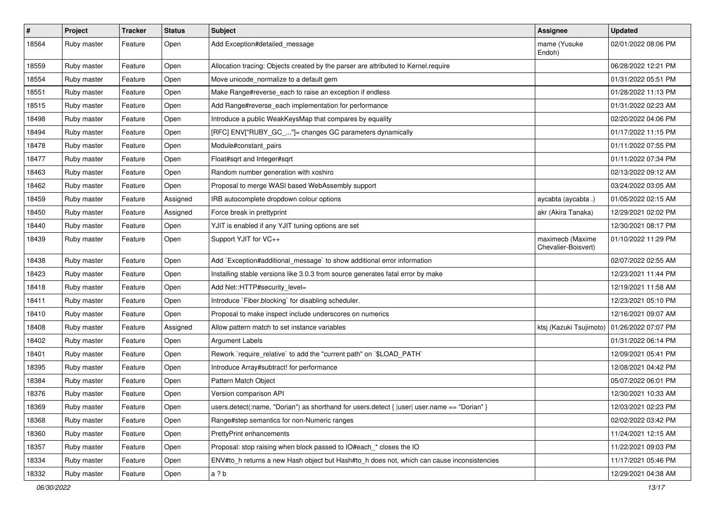| $\pmb{\#}$ | Project     | <b>Tracker</b> | <b>Status</b> | Subject                                                                                      | <b>Assignee</b>                               | <b>Updated</b>      |
|------------|-------------|----------------|---------------|----------------------------------------------------------------------------------------------|-----------------------------------------------|---------------------|
| 18564      | Ruby master | Feature        | Open          | Add Exception#detailed_message                                                               | mame (Yusuke<br>Endoh)                        | 02/01/2022 08:06 PM |
| 18559      | Ruby master | Feature        | Open          | Allocation tracing: Objects created by the parser are attributed to Kernel.require           |                                               | 06/28/2022 12:21 PM |
| 18554      | Ruby master | Feature        | Open          | Move unicode_normalize to a default gem                                                      |                                               | 01/31/2022 05:51 PM |
| 18551      | Ruby master | Feature        | Open          | Make Range#reverse_each to raise an exception if endless                                     |                                               | 01/28/2022 11:13 PM |
| 18515      | Ruby master | Feature        | Open          | Add Range#reverse_each implementation for performance                                        |                                               | 01/31/2022 02:23 AM |
| 18498      | Ruby master | Feature        | Open          | Introduce a public WeakKeysMap that compares by equality                                     |                                               | 02/20/2022 04:06 PM |
| 18494      | Ruby master | Feature        | Open          | [RFC] ENV["RUBY_GC_"]= changes GC parameters dynamically                                     |                                               | 01/17/2022 11:15 PM |
| 18478      | Ruby master | Feature        | Open          | Module#constant_pairs                                                                        |                                               | 01/11/2022 07:55 PM |
| 18477      | Ruby master | Feature        | Open          | Float#sqrt and Integer#sqrt                                                                  |                                               | 01/11/2022 07:34 PM |
| 18463      | Ruby master | Feature        | Open          | Random number generation with xoshiro                                                        |                                               | 02/13/2022 09:12 AM |
| 18462      | Ruby master | Feature        | Open          | Proposal to merge WASI based WebAssembly support                                             |                                               | 03/24/2022 03:05 AM |
| 18459      | Ruby master | Feature        | Assigned      | IRB autocomplete dropdown colour options                                                     | aycabta (aycabta.)                            | 01/05/2022 02:15 AM |
| 18450      | Ruby master | Feature        | Assigned      | Force break in prettyprint                                                                   | akr (Akira Tanaka)                            | 12/29/2021 02:02 PM |
| 18440      | Ruby master | Feature        | Open          | YJIT is enabled if any YJIT tuning options are set                                           |                                               | 12/30/2021 08:17 PM |
| 18439      | Ruby master | Feature        | Open          | Support YJIT for VC++                                                                        | maximecb (Maxime<br>Chevalier-Boisvert)       | 01/10/2022 11:29 PM |
| 18438      | Ruby master | Feature        | Open          | Add `Exception#additional_message` to show additional error information                      |                                               | 02/07/2022 02:55 AM |
| 18423      | Ruby master | Feature        | Open          | Installing stable versions like 3.0.3 from source generates fatal error by make              |                                               | 12/23/2021 11:44 PM |
| 18418      | Ruby master | Feature        | Open          | Add Net::HTTP#security_level=                                                                |                                               | 12/19/2021 11:58 AM |
| 18411      | Ruby master | Feature        | Open          | Introduce `Fiber.blocking` for disabling scheduler.                                          |                                               | 12/23/2021 05:10 PM |
| 18410      | Ruby master | Feature        | Open          | Proposal to make inspect include underscores on numerics                                     |                                               | 12/16/2021 09:07 AM |
| 18408      | Ruby master | Feature        | Assigned      | Allow pattern match to set instance variables                                                | ktsj (Kazuki Tsujimoto)   01/26/2022 07:07 PM |                     |
| 18402      | Ruby master | Feature        | Open          | <b>Argument Labels</b>                                                                       |                                               | 01/31/2022 06:14 PM |
| 18401      | Ruby master | Feature        | Open          | Rework `require_relative` to add the "current path" on `\$LOAD_PATH`                         |                                               | 12/09/2021 05:41 PM |
| 18395      | Ruby master | Feature        | Open          | Introduce Array#subtract! for performance                                                    |                                               | 12/08/2021 04:42 PM |
| 18384      | Ruby master | Feature        | Open          | Pattern Match Object                                                                         |                                               | 05/07/2022 06:01 PM |
| 18376      | Ruby master | Feature        | Open          | Version comparison API                                                                       |                                               | 12/30/2021 10:33 AM |
| 18369      | Ruby master | Feature        | Open          | users.detect(:name, "Dorian") as shorthand for users.detect {  user  user.name == "Dorian" } |                                               | 12/03/2021 02:23 PM |
| 18368      | Ruby master | Feature        | Open          | Range#step semantics for non-Numeric ranges                                                  |                                               | 02/02/2022 03:42 PM |
| 18360      | Ruby master | Feature        | Open          | PrettyPrint enhancements                                                                     |                                               | 11/24/2021 12:15 AM |
| 18357      | Ruby master | Feature        | Open          | Proposal: stop raising when block passed to IO#each_* closes the IO                          |                                               | 11/22/2021 09:03 PM |
| 18334      | Ruby master | Feature        | Open          | ENV#to_h returns a new Hash object but Hash#to_h does not, which can cause inconsistencies   |                                               | 11/17/2021 05:46 PM |
| 18332      | Ruby master | Feature        | Open          | a?b                                                                                          |                                               | 12/29/2021 04:38 AM |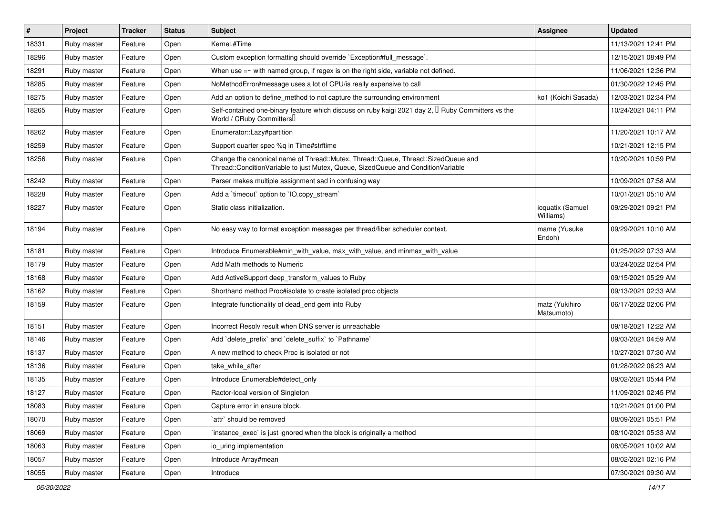| $\vert$ # | Project     | <b>Tracker</b> | <b>Status</b> | <b>Subject</b>                                                                                                                                                        | Assignee                      | <b>Updated</b>      |
|-----------|-------------|----------------|---------------|-----------------------------------------------------------------------------------------------------------------------------------------------------------------------|-------------------------------|---------------------|
| 18331     | Ruby master | Feature        | Open          | Kernel.#Time                                                                                                                                                          |                               | 11/13/2021 12:41 PM |
| 18296     | Ruby master | Feature        | Open          | Custom exception formatting should override `Exception#full_message`.                                                                                                 |                               | 12/15/2021 08:49 PM |
| 18291     | Ruby master | Feature        | Open          | When use $=\sim$ with named group, if regex is on the right side, variable not defined.                                                                               |                               | 11/06/2021 12:36 PM |
| 18285     | Ruby master | Feature        | Open          | NoMethodError#message uses a lot of CPU/is really expensive to call                                                                                                   |                               | 01/30/2022 12:45 PM |
| 18275     | Ruby master | Feature        | Open          | Add an option to define_method to not capture the surrounding environment                                                                                             | ko1 (Koichi Sasada)           | 12/03/2021 02:34 PM |
| 18265     | Ruby master | Feature        | Open          | Self-contained one-binary feature which discuss on ruby kaigi 2021 day 2, $\Box$ Ruby Committers vs the<br>World / CRuby Committers                                   |                               | 10/24/2021 04:11 PM |
| 18262     | Ruby master | Feature        | Open          | Enumerator::Lazy#partition                                                                                                                                            |                               | 11/20/2021 10:17 AM |
| 18259     | Ruby master | Feature        | Open          | Support quarter spec %q in Time#strftime                                                                                                                              |                               | 10/21/2021 12:15 PM |
| 18256     | Ruby master | Feature        | Open          | Change the canonical name of Thread::Mutex, Thread::Queue, Thread::SizedQueue and<br>Thread::ConditionVariable to just Mutex, Queue, SizedQueue and ConditionVariable |                               | 10/20/2021 10:59 PM |
| 18242     | Ruby master | Feature        | Open          | Parser makes multiple assignment sad in confusing way                                                                                                                 |                               | 10/09/2021 07:58 AM |
| 18228     | Ruby master | Feature        | Open          | Add a 'timeout' option to 'IO.copy_stream'                                                                                                                            |                               | 10/01/2021 05:10 AM |
| 18227     | Ruby master | Feature        | Open          | Static class initialization.                                                                                                                                          | ioquatix (Samuel<br>Williams) | 09/29/2021 09:21 PM |
| 18194     | Ruby master | Feature        | Open          | No easy way to format exception messages per thread/fiber scheduler context.                                                                                          | mame (Yusuke)<br>Endoh)       | 09/29/2021 10:10 AM |
| 18181     | Ruby master | Feature        | Open          | Introduce Enumerable#min_with_value, max_with_value, and minmax_with_value                                                                                            |                               | 01/25/2022 07:33 AM |
| 18179     | Ruby master | Feature        | Open          | Add Math methods to Numeric                                                                                                                                           |                               | 03/24/2022 02:54 PM |
| 18168     | Ruby master | Feature        | Open          | Add ActiveSupport deep_transform_values to Ruby                                                                                                                       |                               | 09/15/2021 05:29 AM |
| 18162     | Ruby master | Feature        | Open          | Shorthand method Proc#isolate to create isolated proc objects                                                                                                         |                               | 09/13/2021 02:33 AM |
| 18159     | Ruby master | Feature        | Open          | Integrate functionality of dead_end gem into Ruby                                                                                                                     | matz (Yukihiro<br>Matsumoto)  | 06/17/2022 02:06 PM |
| 18151     | Ruby master | Feature        | Open          | Incorrect Resoly result when DNS server is unreachable                                                                                                                |                               | 09/18/2021 12:22 AM |
| 18146     | Ruby master | Feature        | Open          | Add 'delete_prefix' and 'delete_suffix' to 'Pathname'                                                                                                                 |                               | 09/03/2021 04:59 AM |
| 18137     | Ruby master | Feature        | Open          | A new method to check Proc is isolated or not                                                                                                                         |                               | 10/27/2021 07:30 AM |
| 18136     | Ruby master | Feature        | Open          | take while after                                                                                                                                                      |                               | 01/28/2022 06:23 AM |
| 18135     | Ruby master | Feature        | Open          | Introduce Enumerable#detect_only                                                                                                                                      |                               | 09/02/2021 05:44 PM |
| 18127     | Ruby master | Feature        | Open          | Ractor-local version of Singleton                                                                                                                                     |                               | 11/09/2021 02:45 PM |
| 18083     | Ruby master | Feature        | Open          | Capture error in ensure block.                                                                                                                                        |                               | 10/21/2021 01:00 PM |
| 18070     | Ruby master | Feature        | Open          | `attr` should be removed                                                                                                                                              |                               | 08/09/2021 05:51 PM |
| 18069     | Ruby master | Feature        | Open          | instance exec' is just ignored when the block is originally a method                                                                                                  |                               | 08/10/2021 05:33 AM |
| 18063     | Ruby master | Feature        | Open          | io_uring implementation                                                                                                                                               |                               | 08/05/2021 10:02 AM |
| 18057     | Ruby master | Feature        | Open          | Introduce Array#mean                                                                                                                                                  |                               | 08/02/2021 02:16 PM |
| 18055     | Ruby master | Feature        | Open          | Introduce                                                                                                                                                             |                               | 07/30/2021 09:30 AM |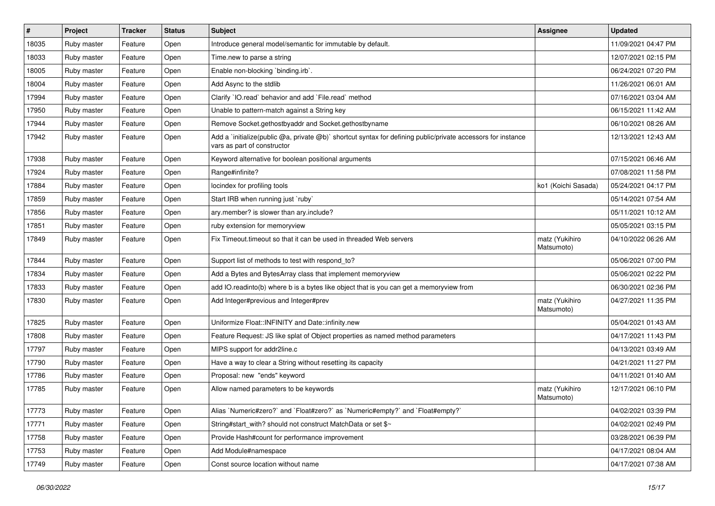| $\sharp$ | Project     | <b>Tracker</b> | <b>Status</b> | Subject                                                                                                                                     | <b>Assignee</b>              | <b>Updated</b>      |
|----------|-------------|----------------|---------------|---------------------------------------------------------------------------------------------------------------------------------------------|------------------------------|---------------------|
| 18035    | Ruby master | Feature        | Open          | Introduce general model/semantic for immutable by default.                                                                                  |                              | 11/09/2021 04:47 PM |
| 18033    | Ruby master | Feature        | Open          | Time.new to parse a string                                                                                                                  |                              | 12/07/2021 02:15 PM |
| 18005    | Ruby master | Feature        | Open          | Enable non-blocking 'binding.irb'.                                                                                                          |                              | 06/24/2021 07:20 PM |
| 18004    | Ruby master | Feature        | Open          | Add Async to the stdlib                                                                                                                     |                              | 11/26/2021 06:01 AM |
| 17994    | Ruby master | Feature        | Open          | Clarify 'IO.read' behavior and add 'File.read' method                                                                                       |                              | 07/16/2021 03:04 AM |
| 17950    | Ruby master | Feature        | Open          | Unable to pattern-match against a String key                                                                                                |                              | 06/15/2021 11:42 AM |
| 17944    | Ruby master | Feature        | Open          | Remove Socket.gethostbyaddr and Socket.gethostbyname                                                                                        |                              | 06/10/2021 08:26 AM |
| 17942    | Ruby master | Feature        | Open          | Add a `initialize(public @a, private @b)` shortcut syntax for defining public/private accessors for instance<br>vars as part of constructor |                              | 12/13/2021 12:43 AM |
| 17938    | Ruby master | Feature        | Open          | Keyword alternative for boolean positional arguments                                                                                        |                              | 07/15/2021 06:46 AM |
| 17924    | Ruby master | Feature        | Open          | Range#infinite?                                                                                                                             |                              | 07/08/2021 11:58 PM |
| 17884    | Ruby master | Feature        | Open          | locindex for profiling tools                                                                                                                | ko1 (Koichi Sasada)          | 05/24/2021 04:17 PM |
| 17859    | Ruby master | Feature        | Open          | Start IRB when running just `ruby`                                                                                                          |                              | 05/14/2021 07:54 AM |
| 17856    | Ruby master | Feature        | Open          | ary.member? is slower than ary.include?                                                                                                     |                              | 05/11/2021 10:12 AM |
| 17851    | Ruby master | Feature        | Open          | ruby extension for memoryview                                                                                                               |                              | 05/05/2021 03:15 PM |
| 17849    | Ruby master | Feature        | Open          | Fix Timeout timeout so that it can be used in threaded Web servers                                                                          | matz (Yukihiro<br>Matsumoto) | 04/10/2022 06:26 AM |
| 17844    | Ruby master | Feature        | Open          | Support list of methods to test with respond_to?                                                                                            |                              | 05/06/2021 07:00 PM |
| 17834    | Ruby master | Feature        | Open          | Add a Bytes and BytesArray class that implement memoryview                                                                                  |                              | 05/06/2021 02:22 PM |
| 17833    | Ruby master | Feature        | Open          | add IO.readinto(b) where b is a bytes like object that is you can get a memoryview from                                                     |                              | 06/30/2021 02:36 PM |
| 17830    | Ruby master | Feature        | Open          | Add Integer#previous and Integer#prev                                                                                                       | matz (Yukihiro<br>Matsumoto) | 04/27/2021 11:35 PM |
| 17825    | Ruby master | Feature        | Open          | Uniformize Float::INFINITY and Date::infinity.new                                                                                           |                              | 05/04/2021 01:43 AM |
| 17808    | Ruby master | Feature        | Open          | Feature Request: JS like splat of Object properties as named method parameters                                                              |                              | 04/17/2021 11:43 PM |
| 17797    | Ruby master | Feature        | Open          | MIPS support for addr2line.c                                                                                                                |                              | 04/13/2021 03:49 AM |
| 17790    | Ruby master | Feature        | Open          | Have a way to clear a String without resetting its capacity                                                                                 |                              | 04/21/2021 11:27 PM |
| 17786    | Ruby master | Feature        | Open          | Proposal: new "ends" keyword                                                                                                                |                              | 04/11/2021 01:40 AM |
| 17785    | Ruby master | Feature        | Open          | Allow named parameters to be keywords                                                                                                       | matz (Yukihiro<br>Matsumoto) | 12/17/2021 06:10 PM |
| 17773    | Ruby master | Feature        | Open          | Alias `Numeric#zero?` and `Float#zero?` as `Numeric#empty?` and `Float#empty?`                                                              |                              | 04/02/2021 03:39 PM |
| 17771    | Ruby master | Feature        | Open          | String#start_with? should not construct MatchData or set \$~                                                                                |                              | 04/02/2021 02:49 PM |
| 17758    | Ruby master | Feature        | Open          | Provide Hash#count for performance improvement                                                                                              |                              | 03/28/2021 06:39 PM |
| 17753    | Ruby master | Feature        | Open          | Add Module#namespace                                                                                                                        |                              | 04/17/2021 08:04 AM |
| 17749    | Ruby master | Feature        | Open          | Const source location without name                                                                                                          |                              | 04/17/2021 07:38 AM |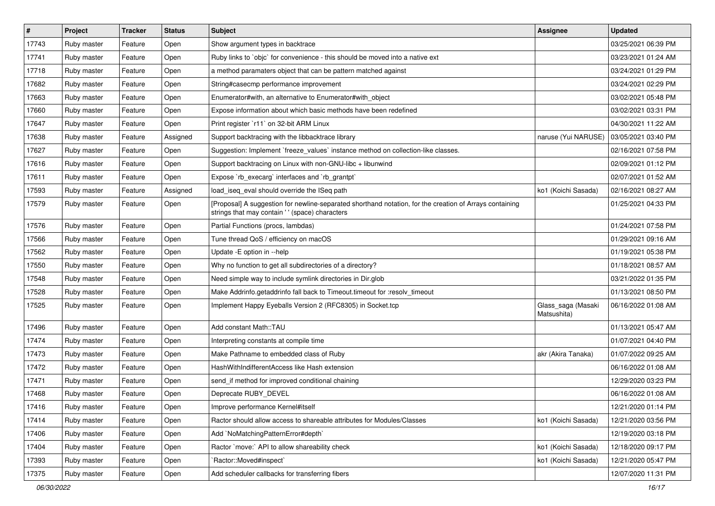| $\pmb{\#}$ | Project     | <b>Tracker</b> | <b>Status</b> | <b>Subject</b>                                                                                                                                             | Assignee                          | <b>Updated</b>      |
|------------|-------------|----------------|---------------|------------------------------------------------------------------------------------------------------------------------------------------------------------|-----------------------------------|---------------------|
| 17743      | Ruby master | Feature        | Open          | Show argument types in backtrace                                                                                                                           |                                   | 03/25/2021 06:39 PM |
| 17741      | Ruby master | Feature        | Open          | Ruby links to `objc` for convenience - this should be moved into a native ext                                                                              |                                   | 03/23/2021 01:24 AM |
| 17718      | Ruby master | Feature        | Open          | a method paramaters object that can be pattern matched against                                                                                             |                                   | 03/24/2021 01:29 PM |
| 17682      | Ruby master | Feature        | Open          | String#casecmp performance improvement                                                                                                                     |                                   | 03/24/2021 02:29 PM |
| 17663      | Ruby master | Feature        | Open          | Enumerator#with, an alternative to Enumerator#with_object                                                                                                  |                                   | 03/02/2021 05:48 PM |
| 17660      | Ruby master | Feature        | Open          | Expose information about which basic methods have been redefined                                                                                           |                                   | 03/02/2021 03:31 PM |
| 17647      | Ruby master | Feature        | Open          | Print register `r11` on 32-bit ARM Linux                                                                                                                   |                                   | 04/30/2021 11:22 AM |
| 17638      | Ruby master | Feature        | Assigned      | Support backtracing with the libbacktrace library                                                                                                          | naruse (Yui NARUSE)               | 03/05/2021 03:40 PM |
| 17627      | Ruby master | Feature        | Open          | Suggestion: Implement `freeze_values` instance method on collection-like classes.                                                                          |                                   | 02/16/2021 07:58 PM |
| 17616      | Ruby master | Feature        | Open          | Support backtracing on Linux with non-GNU-libc + libunwind                                                                                                 |                                   | 02/09/2021 01:12 PM |
| 17611      | Ruby master | Feature        | Open          | Expose `rb_execarg` interfaces and `rb_grantpt`                                                                                                            |                                   | 02/07/2021 01:52 AM |
| 17593      | Ruby master | Feature        | Assigned      | load_iseq_eval should override the ISeq path                                                                                                               | ko1 (Koichi Sasada)               | 02/16/2021 08:27 AM |
| 17579      | Ruby master | Feature        | Open          | [Proposal] A suggestion for newline-separated shorthand notation, for the creation of Arrays containing<br>strings that may contain ' ' (space) characters |                                   | 01/25/2021 04:33 PM |
| 17576      | Ruby master | Feature        | Open          | Partial Functions (procs, lambdas)                                                                                                                         |                                   | 01/24/2021 07:58 PM |
| 17566      | Ruby master | Feature        | Open          | Tune thread QoS / efficiency on macOS                                                                                                                      |                                   | 01/29/2021 09:16 AM |
| 17562      | Ruby master | Feature        | Open          | Update - E option in --help                                                                                                                                |                                   | 01/19/2021 05:38 PM |
| 17550      | Ruby master | Feature        | Open          | Why no function to get all subdirectories of a directory?                                                                                                  |                                   | 01/18/2021 08:57 AM |
| 17548      | Ruby master | Feature        | Open          | Need simple way to include symlink directories in Dir.glob                                                                                                 |                                   | 03/21/2022 01:35 PM |
| 17528      | Ruby master | Feature        | Open          | Make Addrinfo.getaddrinfo fall back to Timeout.timeout for :resolv_timeout                                                                                 |                                   | 01/13/2021 08:50 PM |
| 17525      | Ruby master | Feature        | Open          | Implement Happy Eyeballs Version 2 (RFC8305) in Socket.tcp                                                                                                 | Glass_saga (Masaki<br>Matsushita) | 06/16/2022 01:08 AM |
| 17496      | Ruby master | Feature        | Open          | Add constant Math::TAU                                                                                                                                     |                                   | 01/13/2021 05:47 AM |
| 17474      | Ruby master | Feature        | Open          | Interpreting constants at compile time                                                                                                                     |                                   | 01/07/2021 04:40 PM |
| 17473      | Ruby master | Feature        | Open          | Make Pathname to embedded class of Ruby                                                                                                                    | akr (Akira Tanaka)                | 01/07/2022 09:25 AM |
| 17472      | Ruby master | Feature        | Open          | HashWithIndifferentAccess like Hash extension                                                                                                              |                                   | 06/16/2022 01:08 AM |
| 17471      | Ruby master | Feature        | Open          | send if method for improved conditional chaining                                                                                                           |                                   | 12/29/2020 03:23 PM |
| 17468      | Ruby master | Feature        | Open          | Deprecate RUBY_DEVEL                                                                                                                                       |                                   | 06/16/2022 01:08 AM |
| 17416      | Ruby master | Feature        | Open          | Improve performance Kernel#itself                                                                                                                          |                                   | 12/21/2020 01:14 PM |
| 17414      | Ruby master | Feature        | Open          | Ractor should allow access to shareable attributes for Modules/Classes                                                                                     | ko1 (Koichi Sasada)               | 12/21/2020 03:56 PM |
| 17406      | Ruby master | Feature        | Open          | Add `NoMatchingPatternError#depth`                                                                                                                         |                                   | 12/19/2020 03:18 PM |
| 17404      | Ruby master | Feature        | Open          | Ractor `move:` API to allow shareability check                                                                                                             | ko1 (Koichi Sasada)               | 12/18/2020 09:17 PM |
| 17393      | Ruby master | Feature        | Open          | `Ractor::Moved#inspect`                                                                                                                                    | ko1 (Koichi Sasada)               | 12/21/2020 05:47 PM |
| 17375      | Ruby master | Feature        | Open          | Add scheduler callbacks for transferring fibers                                                                                                            |                                   | 12/07/2020 11:31 PM |